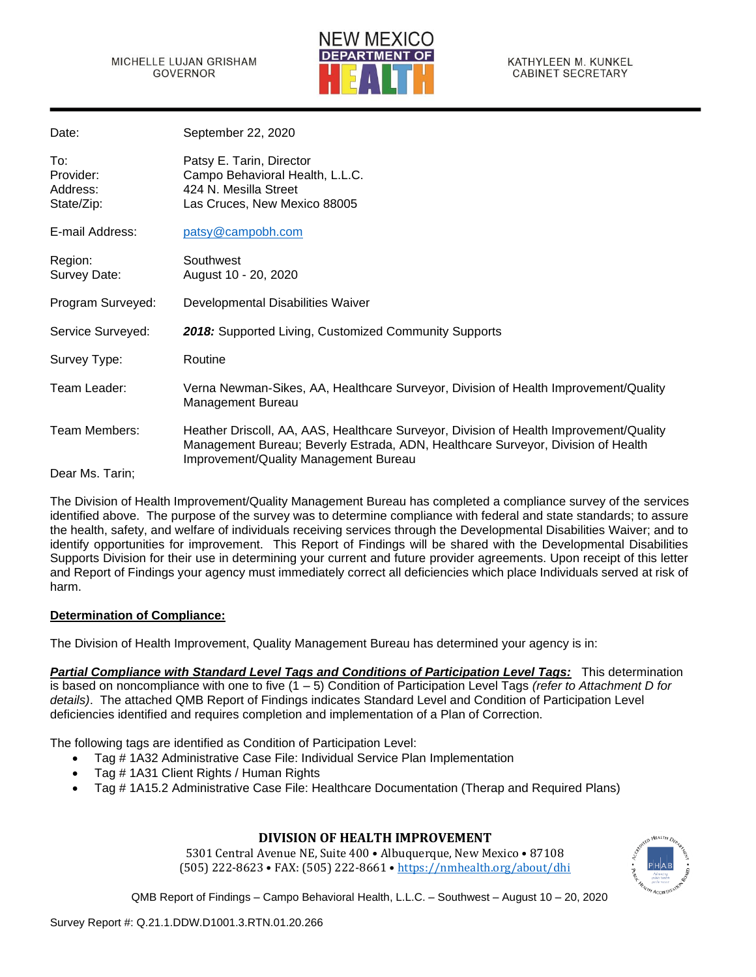

KATHYLEEN M. KUNKEL **CABINET SECRETARY** 

| Date:                                      | September 22, 2020                                                                                                                                                                                                  |
|--------------------------------------------|---------------------------------------------------------------------------------------------------------------------------------------------------------------------------------------------------------------------|
| To:<br>Provider:<br>Address:<br>State/Zip: | Patsy E. Tarin, Director<br>Campo Behavioral Health, L.L.C.<br>424 N. Mesilla Street<br>Las Cruces, New Mexico 88005                                                                                                |
| E-mail Address:                            | patsy@campobh.com                                                                                                                                                                                                   |
| Region:<br>Survey Date:                    | Southwest<br>August 10 - 20, 2020                                                                                                                                                                                   |
| Program Surveyed:                          | Developmental Disabilities Waiver                                                                                                                                                                                   |
| Service Surveyed:                          | 2018: Supported Living, Customized Community Supports                                                                                                                                                               |
| Survey Type:                               | Routine                                                                                                                                                                                                             |
| Team Leader:                               | Verna Newman-Sikes, AA, Healthcare Surveyor, Division of Health Improvement/Quality<br>Management Bureau                                                                                                            |
| Team Members:                              | Heather Driscoll, AA, AAS, Healthcare Surveyor, Division of Health Improvement/Quality<br>Management Bureau; Beverly Estrada, ADN, Healthcare Surveyor, Division of Health<br>Improvement/Quality Management Bureau |
| Dear Ms. Tarin;                            |                                                                                                                                                                                                                     |

The Division of Health Improvement/Quality Management Bureau has completed a compliance survey of the services identified above. The purpose of the survey was to determine compliance with federal and state standards; to assure the health, safety, and welfare of individuals receiving services through the Developmental Disabilities Waiver; and to identify opportunities for improvement. This Report of Findings will be shared with the Developmental Disabilities Supports Division for their use in determining your current and future provider agreements. Upon receipt of this letter and Report of Findings your agency must immediately correct all deficiencies which place Individuals served at risk of harm.

## **Determination of Compliance:**

The Division of Health Improvement, Quality Management Bureau has determined your agency is in:

*Partial Compliance with Standard Level Tags and Conditions of Participation Level Tags:* This determination is based on noncompliance with one to five (1 – 5) Condition of Participation Level Tags *(refer to Attachment D for details)*. The attached QMB Report of Findings indicates Standard Level and Condition of Participation Level deficiencies identified and requires completion and implementation of a Plan of Correction.

The following tags are identified as Condition of Participation Level:

- Tag # 1A32 Administrative Case File: Individual Service Plan Implementation
- Tag # 1A31 Client Rights / Human Rights
- Tag # 1A15.2 Administrative Case File: Healthcare Documentation (Therap and Required Plans)

## **DIVISION OF HEALTH IMPROVEMENT**

5301 Central Avenue NE, Suite 400 • Albuquerque, New Mexico • 87108 (505) 222-8623 • FAX: (505) 222-8661 • <https://nmhealth.org/about/dhi>

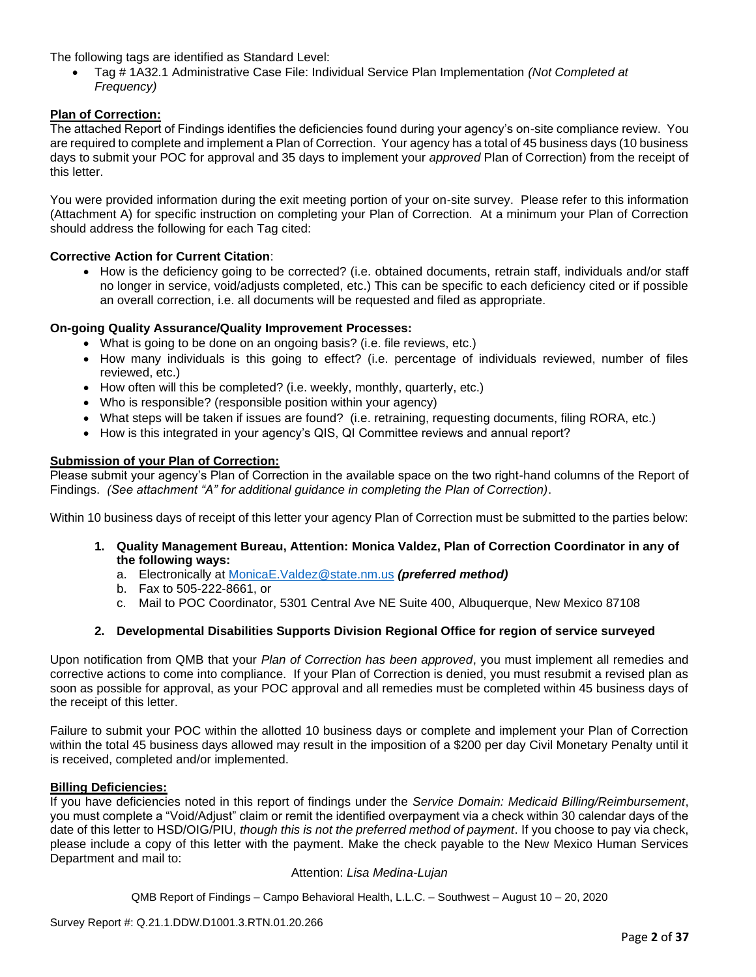The following tags are identified as Standard Level:

• Tag # 1A32.1 Administrative Case File: Individual Service Plan Implementation *(Not Completed at Frequency)*

## **Plan of Correction:**

The attached Report of Findings identifies the deficiencies found during your agency's on-site compliance review. You are required to complete and implement a Plan of Correction. Your agency has a total of 45 business days (10 business days to submit your POC for approval and 35 days to implement your *approved* Plan of Correction) from the receipt of this letter.

You were provided information during the exit meeting portion of your on-site survey. Please refer to this information (Attachment A) for specific instruction on completing your Plan of Correction. At a minimum your Plan of Correction should address the following for each Tag cited:

### **Corrective Action for Current Citation**:

• How is the deficiency going to be corrected? (i.e. obtained documents, retrain staff, individuals and/or staff no longer in service, void/adjusts completed, etc.) This can be specific to each deficiency cited or if possible an overall correction, i.e. all documents will be requested and filed as appropriate.

### **On-going Quality Assurance/Quality Improvement Processes:**

- What is going to be done on an ongoing basis? (i.e. file reviews, etc.)
- How many individuals is this going to effect? (i.e. percentage of individuals reviewed, number of files reviewed, etc.)
- How often will this be completed? (i.e. weekly, monthly, quarterly, etc.)
- Who is responsible? (responsible position within your agency)
- What steps will be taken if issues are found? (i.e. retraining, requesting documents, filing RORA, etc.)
- How is this integrated in your agency's QIS, QI Committee reviews and annual report?

### **Submission of your Plan of Correction:**

Please submit your agency's Plan of Correction in the available space on the two right-hand columns of the Report of Findings. *(See attachment "A" for additional guidance in completing the Plan of Correction)*.

Within 10 business days of receipt of this letter your agency Plan of Correction must be submitted to the parties below:

- **1. Quality Management Bureau, Attention: Monica Valdez, Plan of Correction Coordinator in any of the following ways:**
	- a. Electronically at [MonicaE.Valdez@state.nm.us](mailto:MonicaE.Valdez@state.nm.us) *(preferred method)*
	- b. Fax to 505-222-8661, or
	- c. Mail to POC Coordinator, 5301 Central Ave NE Suite 400, Albuquerque, New Mexico 87108

### **2. Developmental Disabilities Supports Division Regional Office for region of service surveyed**

Upon notification from QMB that your *Plan of Correction has been approved*, you must implement all remedies and corrective actions to come into compliance. If your Plan of Correction is denied, you must resubmit a revised plan as soon as possible for approval, as your POC approval and all remedies must be completed within 45 business days of the receipt of this letter.

Failure to submit your POC within the allotted 10 business days or complete and implement your Plan of Correction within the total 45 business days allowed may result in the imposition of a \$200 per day Civil Monetary Penalty until it is received, completed and/or implemented.

### **Billing Deficiencies:**

If you have deficiencies noted in this report of findings under the *Service Domain: Medicaid Billing/Reimbursement*, you must complete a "Void/Adjust" claim or remit the identified overpayment via a check within 30 calendar days of the date of this letter to HSD/OIG/PIU, *though this is not the preferred method of payment*. If you choose to pay via check, please include a copy of this letter with the payment. Make the check payable to the New Mexico Human Services Department and mail to:

#### Attention: *Lisa Medina-Lujan*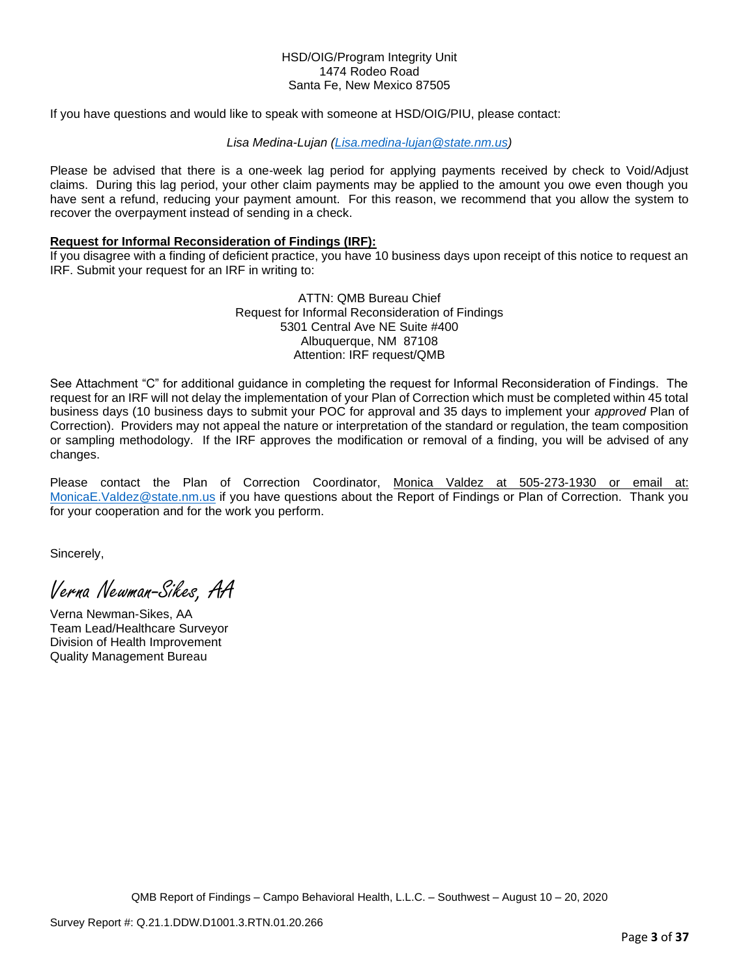### HSD/OIG/Program Integrity Unit 1474 Rodeo Road Santa Fe, New Mexico 87505

If you have questions and would like to speak with someone at HSD/OIG/PIU, please contact:

#### *Lisa Medina-Lujan [\(Lisa.medina-lujan@state.nm.us\)](mailto:Lisa.medina-lujan@state.nm.us)*

Please be advised that there is a one-week lag period for applying payments received by check to Void/Adjust claims. During this lag period, your other claim payments may be applied to the amount you owe even though you have sent a refund, reducing your payment amount. For this reason, we recommend that you allow the system to recover the overpayment instead of sending in a check.

### **Request for Informal Reconsideration of Findings (IRF):**

If you disagree with a finding of deficient practice, you have 10 business days upon receipt of this notice to request an IRF. Submit your request for an IRF in writing to:

> ATTN: QMB Bureau Chief Request for Informal Reconsideration of Findings 5301 Central Ave NE Suite #400 Albuquerque, NM 87108 Attention: IRF request/QMB

See Attachment "C" for additional guidance in completing the request for Informal Reconsideration of Findings. The request for an IRF will not delay the implementation of your Plan of Correction which must be completed within 45 total business days (10 business days to submit your POC for approval and 35 days to implement your *approved* Plan of Correction). Providers may not appeal the nature or interpretation of the standard or regulation, the team composition or sampling methodology. If the IRF approves the modification or removal of a finding, you will be advised of any changes.

Please contact the Plan of Correction Coordinator, Monica Valdez at 505-273-1930 or email at: [MonicaE.Valdez@state.nm.us](mailto:MonicaE.Valdez@state.nm.us) if you have questions about the Report of Findings or Plan of Correction. Thank you for your cooperation and for the work you perform.

Sincerely,

Verna Newman-Sikes, AA

Verna Newman-Sikes, AA Team Lead/Healthcare Surveyor Division of Health Improvement Quality Management Bureau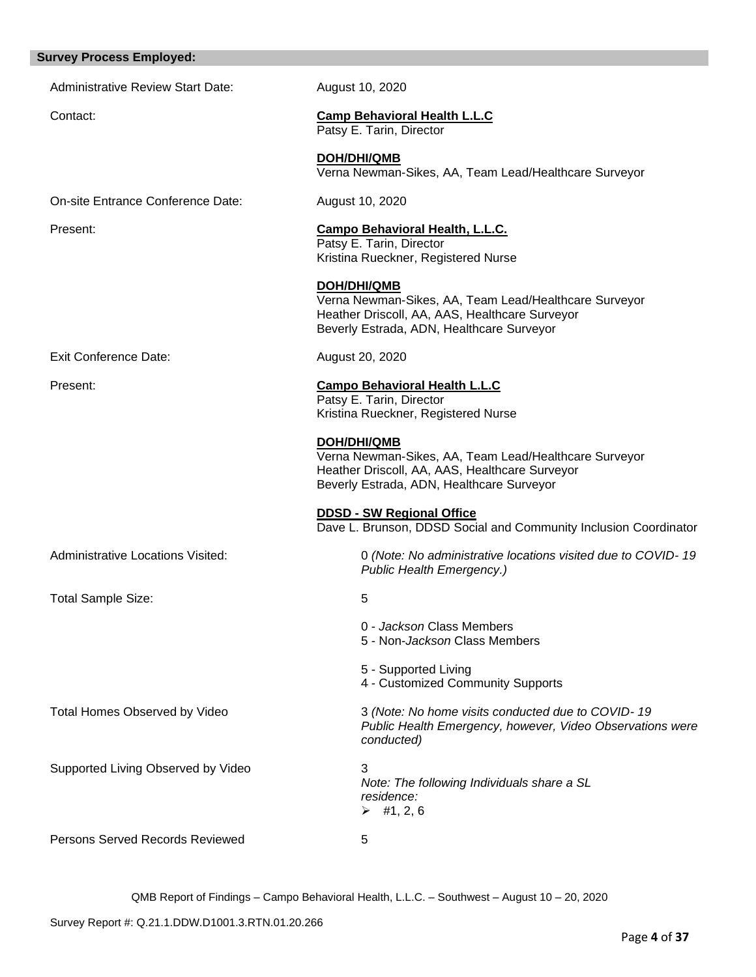| <b>Survey Process Employed:</b>          |                                                                                                                                                                     |
|------------------------------------------|---------------------------------------------------------------------------------------------------------------------------------------------------------------------|
| <b>Administrative Review Start Date:</b> | August 10, 2020                                                                                                                                                     |
| Contact:                                 | <b>Camp Behavioral Health L.L.C</b><br>Patsy E. Tarin, Director                                                                                                     |
|                                          | <b>DOH/DHI/QMB</b><br>Verna Newman-Sikes, AA, Team Lead/Healthcare Surveyor                                                                                         |
| On-site Entrance Conference Date:        | August 10, 2020                                                                                                                                                     |
| Present:                                 | <b>Campo Behavioral Health, L.L.C.</b><br>Patsy E. Tarin, Director<br>Kristina Rueckner, Registered Nurse                                                           |
|                                          | DOH/DHI/QMB<br>Verna Newman-Sikes, AA, Team Lead/Healthcare Surveyor<br>Heather Driscoll, AA, AAS, Healthcare Surveyor<br>Beverly Estrada, ADN, Healthcare Surveyor |
| <b>Exit Conference Date:</b>             | August 20, 2020                                                                                                                                                     |
| Present:                                 | <b>Campo Behavioral Health L.L.C</b><br>Patsy E. Tarin, Director<br>Kristina Rueckner, Registered Nurse                                                             |
|                                          | DOH/DHI/QMB<br>Verna Newman-Sikes, AA, Team Lead/Healthcare Surveyor<br>Heather Driscoll, AA, AAS, Healthcare Surveyor<br>Beverly Estrada, ADN, Healthcare Surveyor |
|                                          | <b>DDSD - SW Regional Office</b><br>Dave L. Brunson, DDSD Social and Community Inclusion Coordinator                                                                |
| <b>Administrative Locations Visited:</b> | 0 (Note: No administrative locations visited due to COVID-19<br>Public Health Emergency.)                                                                           |
| <b>Total Sample Size:</b>                | 5                                                                                                                                                                   |
|                                          | 0 - Jackson Class Members<br>5 - Non-Jackson Class Members                                                                                                          |
|                                          | 5 - Supported Living<br>4 - Customized Community Supports                                                                                                           |
| Total Homes Observed by Video            | 3 (Note: No home visits conducted due to COVID-19<br>Public Health Emergency, however, Video Observations were<br>conducted)                                        |
| Supported Living Observed by Video       | 3<br>Note: The following Individuals share a SL<br>residence:<br>$\triangleright$ #1, 2, 6                                                                          |
| Persons Served Records Reviewed          | 5                                                                                                                                                                   |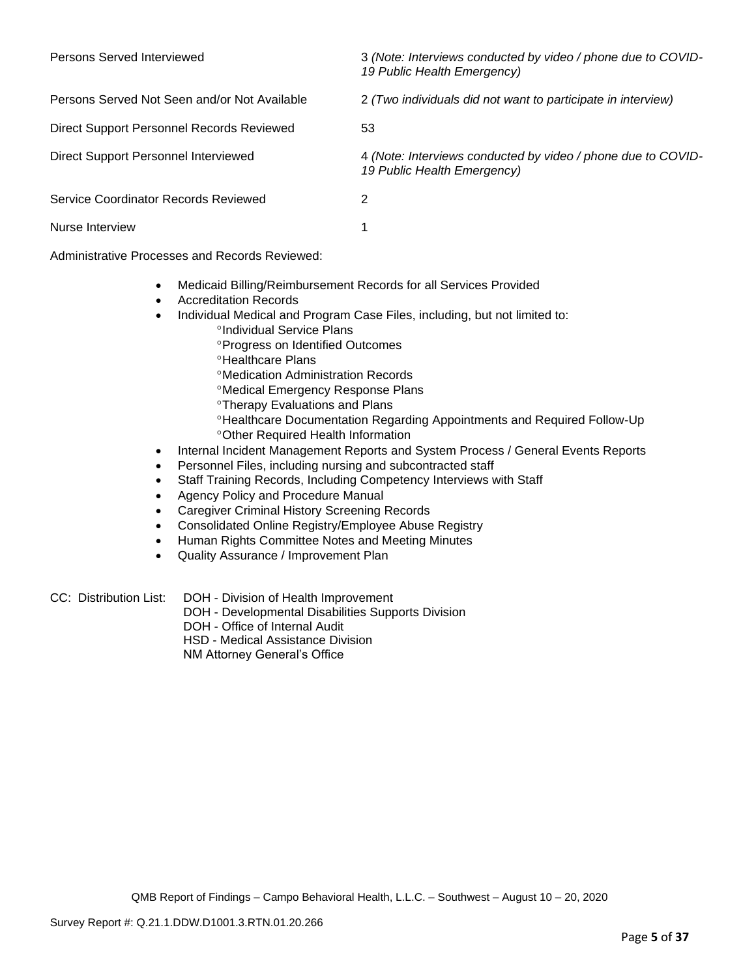| Persons Served Interviewed                   | 3 (Note: Interviews conducted by video / phone due to COVID-<br>19 Public Health Emergency) |
|----------------------------------------------|---------------------------------------------------------------------------------------------|
| Persons Served Not Seen and/or Not Available | 2 (Two individuals did not want to participate in interview)                                |
| Direct Support Personnel Records Reviewed    | 53                                                                                          |
| Direct Support Personnel Interviewed         | 4 (Note: Interviews conducted by video / phone due to COVID-<br>19 Public Health Emergency) |
| Service Coordinator Records Reviewed         |                                                                                             |
| Nurse Interview                              |                                                                                             |

Administrative Processes and Records Reviewed:

- Medicaid Billing/Reimbursement Records for all Services Provided
- Accreditation Records
- Individual Medical and Program Case Files, including, but not limited to:
	- <sup>o</sup>Individual Service Plans
		- **Progress on Identified Outcomes**
		- <sup>o</sup>Healthcare Plans
		- Medication Administration Records
		- Medical Emergency Response Plans
		- Therapy Evaluations and Plans
		- Healthcare Documentation Regarding Appointments and Required Follow-Up Other Required Health Information
- Internal Incident Management Reports and System Process / General Events Reports
- Personnel Files, including nursing and subcontracted staff
- Staff Training Records, Including Competency Interviews with Staff
- Agency Policy and Procedure Manual
- Caregiver Criminal History Screening Records
- Consolidated Online Registry/Employee Abuse Registry
- Human Rights Committee Notes and Meeting Minutes
- Quality Assurance / Improvement Plan
- CC: Distribution List: DOH Division of Health Improvement
	- DOH Developmental Disabilities Supports Division
	- DOH Office of Internal Audit
	- HSD Medical Assistance Division
	- NM Attorney General's Office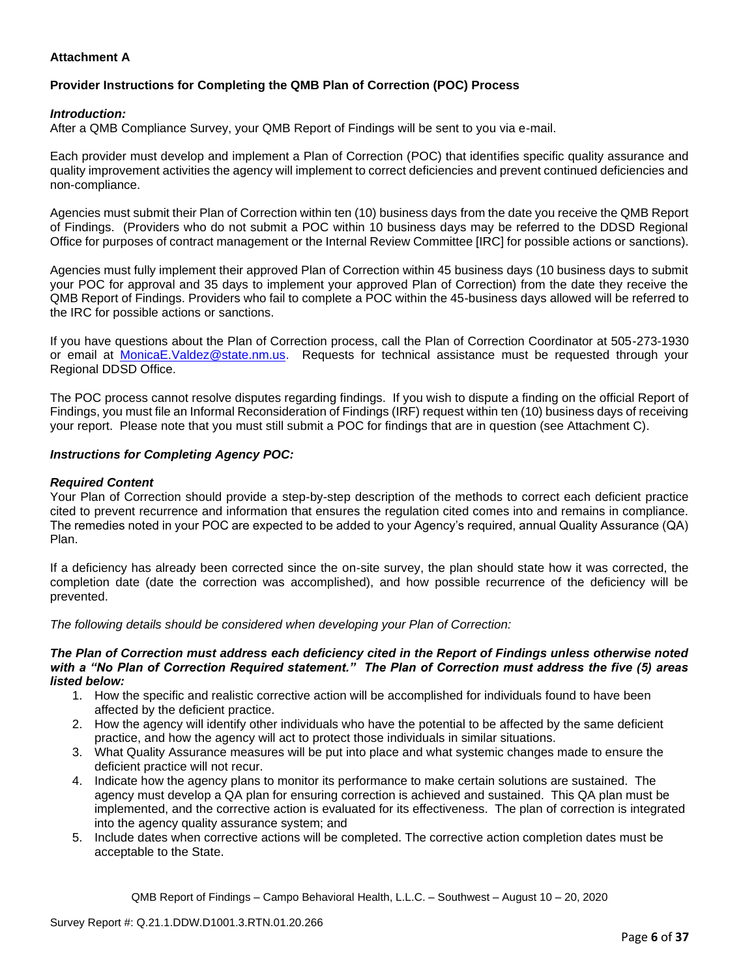## **Attachment A**

# **Provider Instructions for Completing the QMB Plan of Correction (POC) Process**

## *Introduction:*

After a QMB Compliance Survey, your QMB Report of Findings will be sent to you via e-mail.

Each provider must develop and implement a Plan of Correction (POC) that identifies specific quality assurance and quality improvement activities the agency will implement to correct deficiencies and prevent continued deficiencies and non-compliance.

Agencies must submit their Plan of Correction within ten (10) business days from the date you receive the QMB Report of Findings. (Providers who do not submit a POC within 10 business days may be referred to the DDSD Regional Office for purposes of contract management or the Internal Review Committee [IRC] for possible actions or sanctions).

Agencies must fully implement their approved Plan of Correction within 45 business days (10 business days to submit your POC for approval and 35 days to implement your approved Plan of Correction) from the date they receive the QMB Report of Findings. Providers who fail to complete a POC within the 45-business days allowed will be referred to the IRC for possible actions or sanctions.

If you have questions about the Plan of Correction process, call the Plan of Correction Coordinator at 505-273-1930 or email at [MonicaE.Valdez@state.nm.us.](mailto:MonicaE.Valdez@state.nm.us) Requests for technical assistance must be requested through your Regional DDSD Office.

The POC process cannot resolve disputes regarding findings. If you wish to dispute a finding on the official Report of Findings, you must file an Informal Reconsideration of Findings (IRF) request within ten (10) business days of receiving your report. Please note that you must still submit a POC for findings that are in question (see Attachment C).

### *Instructions for Completing Agency POC:*

### *Required Content*

Your Plan of Correction should provide a step-by-step description of the methods to correct each deficient practice cited to prevent recurrence and information that ensures the regulation cited comes into and remains in compliance. The remedies noted in your POC are expected to be added to your Agency's required, annual Quality Assurance (QA) Plan.

If a deficiency has already been corrected since the on-site survey, the plan should state how it was corrected, the completion date (date the correction was accomplished), and how possible recurrence of the deficiency will be prevented.

*The following details should be considered when developing your Plan of Correction:*

#### *The Plan of Correction must address each deficiency cited in the Report of Findings unless otherwise noted with a "No Plan of Correction Required statement." The Plan of Correction must address the five (5) areas listed below:*

- 1. How the specific and realistic corrective action will be accomplished for individuals found to have been affected by the deficient practice.
- 2. How the agency will identify other individuals who have the potential to be affected by the same deficient practice, and how the agency will act to protect those individuals in similar situations.
- 3. What Quality Assurance measures will be put into place and what systemic changes made to ensure the deficient practice will not recur.
- 4. Indicate how the agency plans to monitor its performance to make certain solutions are sustained. The agency must develop a QA plan for ensuring correction is achieved and sustained. This QA plan must be implemented, and the corrective action is evaluated for its effectiveness. The plan of correction is integrated into the agency quality assurance system; and
- 5. Include dates when corrective actions will be completed. The corrective action completion dates must be acceptable to the State.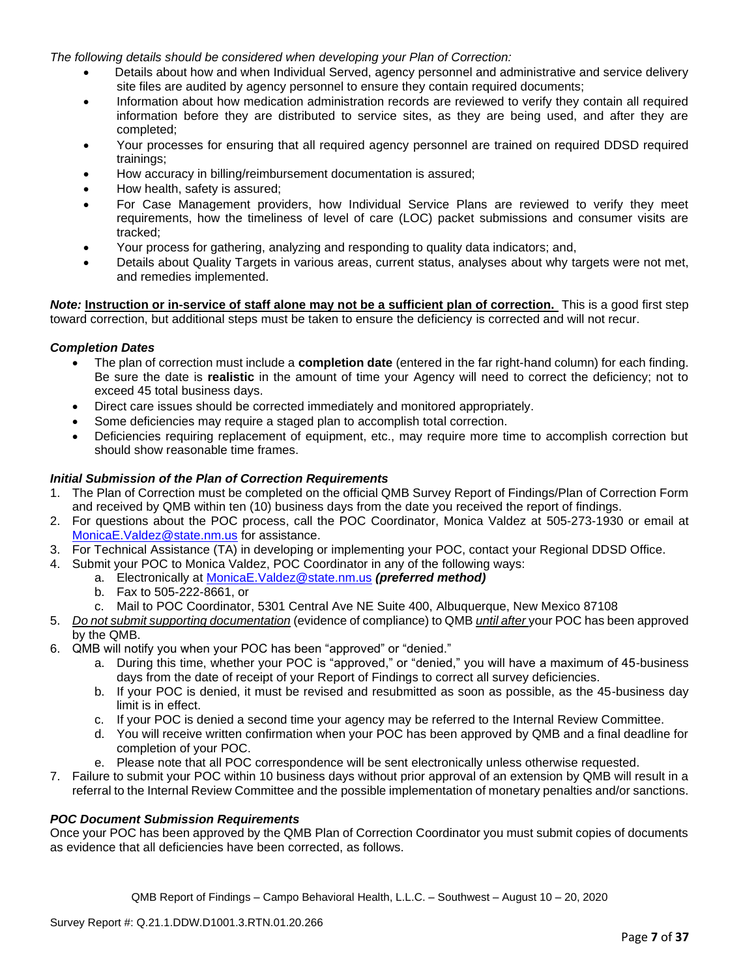*The following details should be considered when developing your Plan of Correction:*

- Details about how and when Individual Served, agency personnel and administrative and service delivery site files are audited by agency personnel to ensure they contain required documents;
- Information about how medication administration records are reviewed to verify they contain all required information before they are distributed to service sites, as they are being used, and after they are completed;
- Your processes for ensuring that all required agency personnel are trained on required DDSD required trainings;
- How accuracy in billing/reimbursement documentation is assured;
- How health, safety is assured;
- For Case Management providers, how Individual Service Plans are reviewed to verify they meet requirements, how the timeliness of level of care (LOC) packet submissions and consumer visits are tracked;
- Your process for gathering, analyzing and responding to quality data indicators; and,
- Details about Quality Targets in various areas, current status, analyses about why targets were not met, and remedies implemented.

*Note:* **Instruction or in-service of staff alone may not be a sufficient plan of correction.** This is a good first step toward correction, but additional steps must be taken to ensure the deficiency is corrected and will not recur.

## *Completion Dates*

- The plan of correction must include a **completion date** (entered in the far right-hand column) for each finding. Be sure the date is **realistic** in the amount of time your Agency will need to correct the deficiency; not to exceed 45 total business days.
- Direct care issues should be corrected immediately and monitored appropriately.
- Some deficiencies may require a staged plan to accomplish total correction.
- Deficiencies requiring replacement of equipment, etc., may require more time to accomplish correction but should show reasonable time frames.

## *Initial Submission of the Plan of Correction Requirements*

- 1. The Plan of Correction must be completed on the official QMB Survey Report of Findings/Plan of Correction Form and received by QMB within ten (10) business days from the date you received the report of findings.
- 2. For questions about the POC process, call the POC Coordinator, Monica Valdez at 505-273-1930 or email at [MonicaE.Valdez@state.nm.us](mailto:MonicaE.Valdez@state.nm.us) for assistance.
- 3. For Technical Assistance (TA) in developing or implementing your POC, contact your Regional DDSD Office.
- 4. Submit your POC to Monica Valdez, POC Coordinator in any of the following ways:
	- a. Electronically at [MonicaE.Valdez@state.nm.us](mailto:MonicaE.Valdez@state.nm.us) *(preferred method)*
	- b. Fax to 505-222-8661, or
	- c. Mail to POC Coordinator, 5301 Central Ave NE Suite 400, Albuquerque, New Mexico 87108
- 5. *Do not submit supporting documentation* (evidence of compliance) to QMB *until after* your POC has been approved by the QMB.
- 6. QMB will notify you when your POC has been "approved" or "denied."
	- a. During this time, whether your POC is "approved," or "denied," you will have a maximum of 45-business days from the date of receipt of your Report of Findings to correct all survey deficiencies.
	- b. If your POC is denied, it must be revised and resubmitted as soon as possible, as the 45-business day limit is in effect.
	- c. If your POC is denied a second time your agency may be referred to the Internal Review Committee.
	- d. You will receive written confirmation when your POC has been approved by QMB and a final deadline for completion of your POC.
	- e. Please note that all POC correspondence will be sent electronically unless otherwise requested.
- 7. Failure to submit your POC within 10 business days without prior approval of an extension by QMB will result in a referral to the Internal Review Committee and the possible implementation of monetary penalties and/or sanctions.

### *POC Document Submission Requirements*

Once your POC has been approved by the QMB Plan of Correction Coordinator you must submit copies of documents as evidence that all deficiencies have been corrected, as follows.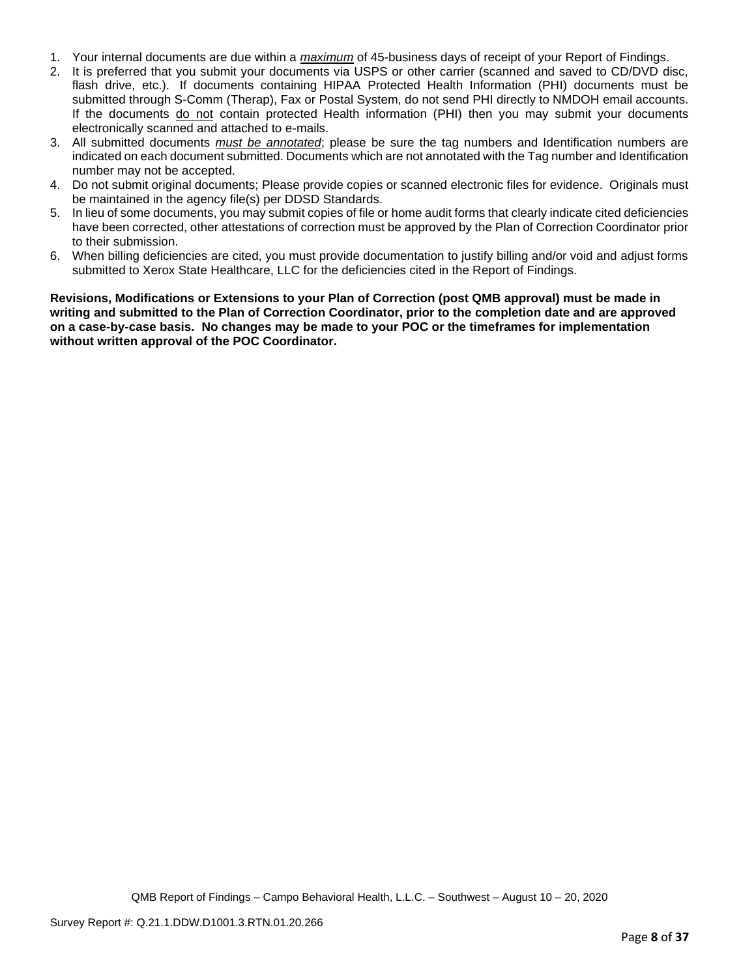- 1. Your internal documents are due within a *maximum* of 45-business days of receipt of your Report of Findings.
- 2. It is preferred that you submit your documents via USPS or other carrier (scanned and saved to CD/DVD disc, flash drive, etc.). If documents containing HIPAA Protected Health Information (PHI) documents must be submitted through S-Comm (Therap), Fax or Postal System, do not send PHI directly to NMDOH email accounts. If the documents do not contain protected Health information (PHI) then you may submit your documents electronically scanned and attached to e-mails.
- 3. All submitted documents *must be annotated*; please be sure the tag numbers and Identification numbers are indicated on each document submitted. Documents which are not annotated with the Tag number and Identification number may not be accepted.
- 4. Do not submit original documents; Please provide copies or scanned electronic files for evidence. Originals must be maintained in the agency file(s) per DDSD Standards.
- 5. In lieu of some documents, you may submit copies of file or home audit forms that clearly indicate cited deficiencies have been corrected, other attestations of correction must be approved by the Plan of Correction Coordinator prior to their submission.
- 6. When billing deficiencies are cited, you must provide documentation to justify billing and/or void and adjust forms submitted to Xerox State Healthcare, LLC for the deficiencies cited in the Report of Findings.

**Revisions, Modifications or Extensions to your Plan of Correction (post QMB approval) must be made in writing and submitted to the Plan of Correction Coordinator, prior to the completion date and are approved on a case-by-case basis. No changes may be made to your POC or the timeframes for implementation without written approval of the POC Coordinator.**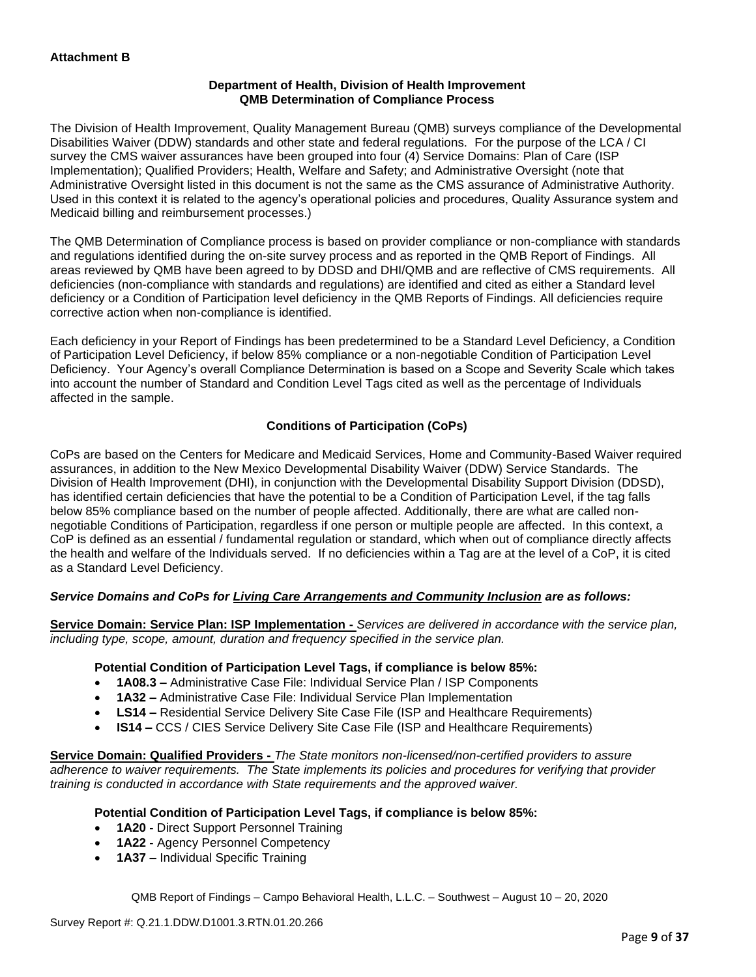## **Department of Health, Division of Health Improvement QMB Determination of Compliance Process**

The Division of Health Improvement, Quality Management Bureau (QMB) surveys compliance of the Developmental Disabilities Waiver (DDW) standards and other state and federal regulations. For the purpose of the LCA / CI survey the CMS waiver assurances have been grouped into four (4) Service Domains: Plan of Care (ISP Implementation); Qualified Providers; Health, Welfare and Safety; and Administrative Oversight (note that Administrative Oversight listed in this document is not the same as the CMS assurance of Administrative Authority. Used in this context it is related to the agency's operational policies and procedures, Quality Assurance system and Medicaid billing and reimbursement processes.)

The QMB Determination of Compliance process is based on provider compliance or non-compliance with standards and regulations identified during the on-site survey process and as reported in the QMB Report of Findings. All areas reviewed by QMB have been agreed to by DDSD and DHI/QMB and are reflective of CMS requirements. All deficiencies (non-compliance with standards and regulations) are identified and cited as either a Standard level deficiency or a Condition of Participation level deficiency in the QMB Reports of Findings. All deficiencies require corrective action when non-compliance is identified.

Each deficiency in your Report of Findings has been predetermined to be a Standard Level Deficiency, a Condition of Participation Level Deficiency, if below 85% compliance or a non-negotiable Condition of Participation Level Deficiency. Your Agency's overall Compliance Determination is based on a Scope and Severity Scale which takes into account the number of Standard and Condition Level Tags cited as well as the percentage of Individuals affected in the sample.

## **Conditions of Participation (CoPs)**

CoPs are based on the Centers for Medicare and Medicaid Services, Home and Community-Based Waiver required assurances, in addition to the New Mexico Developmental Disability Waiver (DDW) Service Standards. The Division of Health Improvement (DHI), in conjunction with the Developmental Disability Support Division (DDSD), has identified certain deficiencies that have the potential to be a Condition of Participation Level, if the tag falls below 85% compliance based on the number of people affected. Additionally, there are what are called nonnegotiable Conditions of Participation, regardless if one person or multiple people are affected. In this context, a CoP is defined as an essential / fundamental regulation or standard, which when out of compliance directly affects the health and welfare of the Individuals served. If no deficiencies within a Tag are at the level of a CoP, it is cited as a Standard Level Deficiency.

## *Service Domains and CoPs for Living Care Arrangements and Community Inclusion are as follows:*

**Service Domain: Service Plan: ISP Implementation -** *Services are delivered in accordance with the service plan, including type, scope, amount, duration and frequency specified in the service plan.*

### **Potential Condition of Participation Level Tags, if compliance is below 85%:**

- **1A08.3 –** Administrative Case File: Individual Service Plan / ISP Components
- **1A32 –** Administrative Case File: Individual Service Plan Implementation
- **LS14 –** Residential Service Delivery Site Case File (ISP and Healthcare Requirements)
- **IS14 –** CCS / CIES Service Delivery Site Case File (ISP and Healthcare Requirements)

**Service Domain: Qualified Providers -** *The State monitors non-licensed/non-certified providers to assure adherence to waiver requirements. The State implements its policies and procedures for verifying that provider training is conducted in accordance with State requirements and the approved waiver.*

### **Potential Condition of Participation Level Tags, if compliance is below 85%:**

- **1A20 -** Direct Support Personnel Training
- **1A22 -** Agency Personnel Competency
- **1A37 –** Individual Specific Training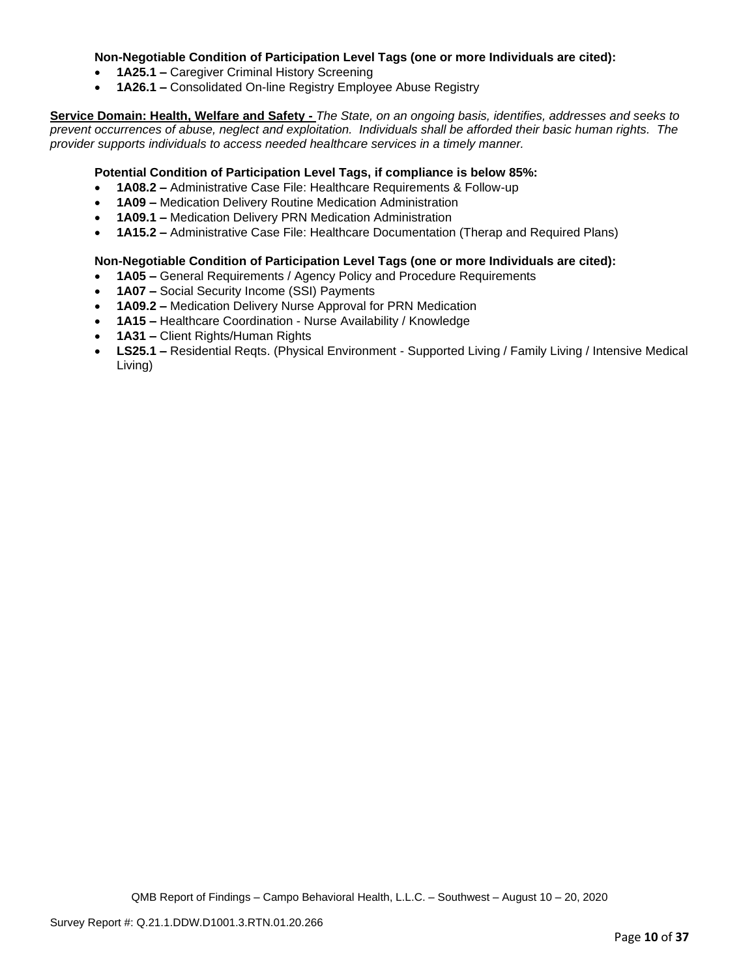## **Non-Negotiable Condition of Participation Level Tags (one or more Individuals are cited):**

- **1A25.1 –** Caregiver Criminal History Screening
- **1A26.1 –** Consolidated On-line Registry Employee Abuse Registry

**Service Domain: Health, Welfare and Safety -** *The State, on an ongoing basis, identifies, addresses and seeks to prevent occurrences of abuse, neglect and exploitation. Individuals shall be afforded their basic human rights. The provider supports individuals to access needed healthcare services in a timely manner.*

### **Potential Condition of Participation Level Tags, if compliance is below 85%:**

- **1A08.2 –** Administrative Case File: Healthcare Requirements & Follow-up
- **1A09 –** Medication Delivery Routine Medication Administration
- **1A09.1 –** Medication Delivery PRN Medication Administration
- **1A15.2 –** Administrative Case File: Healthcare Documentation (Therap and Required Plans)

## **Non-Negotiable Condition of Participation Level Tags (one or more Individuals are cited):**

- **1A05 –** General Requirements / Agency Policy and Procedure Requirements
- **1A07 –** Social Security Income (SSI) Payments
- **1A09.2 –** Medication Delivery Nurse Approval for PRN Medication
- **1A15 –** Healthcare Coordination Nurse Availability / Knowledge
- **1A31 –** Client Rights/Human Rights
- **LS25.1 –** Residential Reqts. (Physical Environment Supported Living / Family Living / Intensive Medical Living)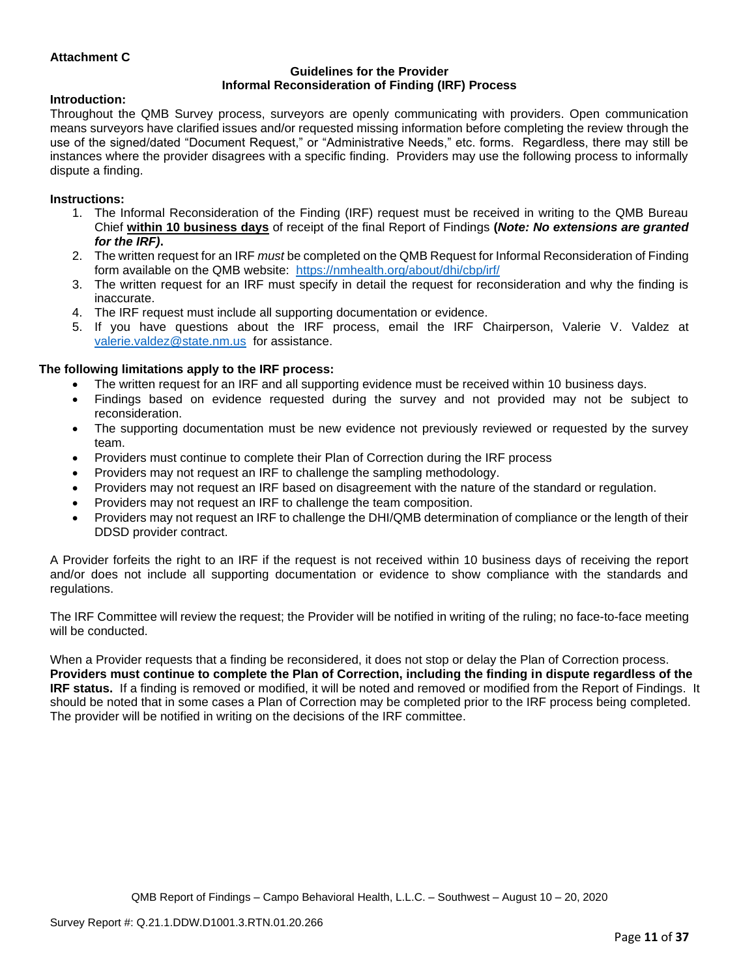## **Attachment C**

### **Guidelines for the Provider Informal Reconsideration of Finding (IRF) Process**

### **Introduction:**

Throughout the QMB Survey process, surveyors are openly communicating with providers. Open communication means surveyors have clarified issues and/or requested missing information before completing the review through the use of the signed/dated "Document Request," or "Administrative Needs," etc. forms. Regardless, there may still be instances where the provider disagrees with a specific finding. Providers may use the following process to informally dispute a finding.

### **Instructions:**

- 1. The Informal Reconsideration of the Finding (IRF) request must be received in writing to the QMB Bureau Chief **within 10 business days** of receipt of the final Report of Findings **(***Note: No extensions are granted for the IRF)***.**
- 2. The written request for an IRF *must* be completed on the QMB Request for Informal Reconsideration of Finding form available on the QMB website: <https://nmhealth.org/about/dhi/cbp/irf/>
- 3. The written request for an IRF must specify in detail the request for reconsideration and why the finding is inaccurate.
- 4. The IRF request must include all supporting documentation or evidence.
- 5. If you have questions about the IRF process, email the IRF Chairperson, Valerie V. Valdez at [valerie.valdez@state.nm.us](mailto:valerie.valdez@state.nm.us) for assistance.

#### **The following limitations apply to the IRF process:**

- The written request for an IRF and all supporting evidence must be received within 10 business days.
- Findings based on evidence requested during the survey and not provided may not be subject to reconsideration.
- The supporting documentation must be new evidence not previously reviewed or requested by the survey team.
- Providers must continue to complete their Plan of Correction during the IRF process
- Providers may not request an IRF to challenge the sampling methodology.
- Providers may not request an IRF based on disagreement with the nature of the standard or regulation.
- Providers may not request an IRF to challenge the team composition.
- Providers may not request an IRF to challenge the DHI/QMB determination of compliance or the length of their DDSD provider contract.

A Provider forfeits the right to an IRF if the request is not received within 10 business days of receiving the report and/or does not include all supporting documentation or evidence to show compliance with the standards and regulations.

The IRF Committee will review the request; the Provider will be notified in writing of the ruling; no face-to-face meeting will be conducted.

When a Provider requests that a finding be reconsidered, it does not stop or delay the Plan of Correction process. **Providers must continue to complete the Plan of Correction, including the finding in dispute regardless of the IRF status.** If a finding is removed or modified, it will be noted and removed or modified from the Report of Findings. It should be noted that in some cases a Plan of Correction may be completed prior to the IRF process being completed. The provider will be notified in writing on the decisions of the IRF committee.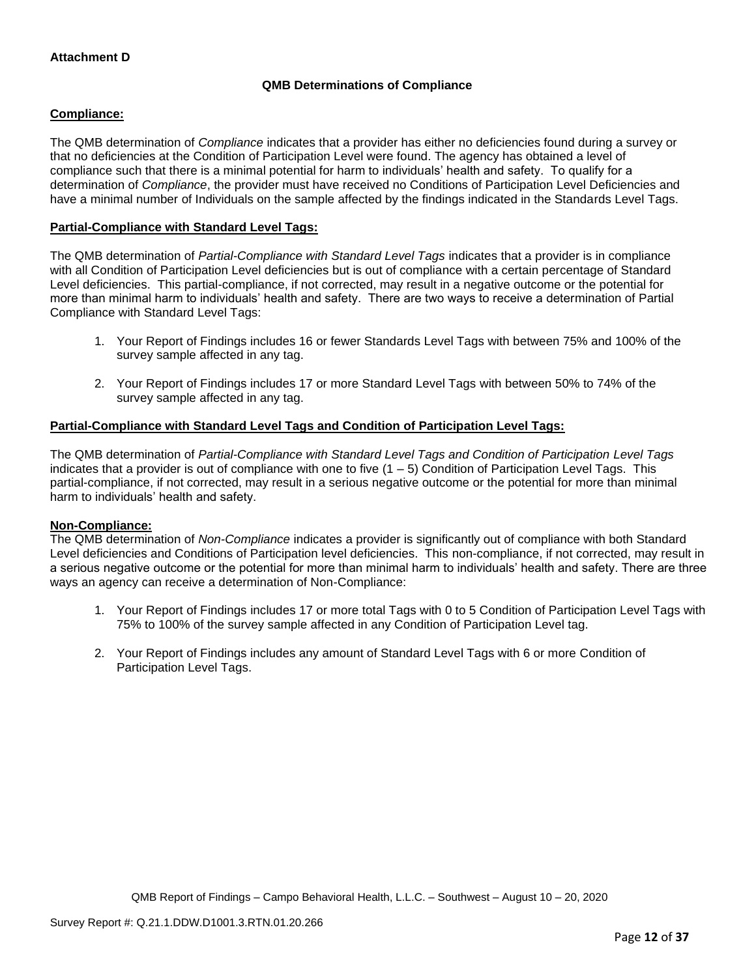## **QMB Determinations of Compliance**

## **Compliance:**

The QMB determination of *Compliance* indicates that a provider has either no deficiencies found during a survey or that no deficiencies at the Condition of Participation Level were found. The agency has obtained a level of compliance such that there is a minimal potential for harm to individuals' health and safety. To qualify for a determination of *Compliance*, the provider must have received no Conditions of Participation Level Deficiencies and have a minimal number of Individuals on the sample affected by the findings indicated in the Standards Level Tags.

## **Partial-Compliance with Standard Level Tags:**

The QMB determination of *Partial-Compliance with Standard Level Tags* indicates that a provider is in compliance with all Condition of Participation Level deficiencies but is out of compliance with a certain percentage of Standard Level deficiencies. This partial-compliance, if not corrected, may result in a negative outcome or the potential for more than minimal harm to individuals' health and safety. There are two ways to receive a determination of Partial Compliance with Standard Level Tags:

- 1. Your Report of Findings includes 16 or fewer Standards Level Tags with between 75% and 100% of the survey sample affected in any tag.
- 2. Your Report of Findings includes 17 or more Standard Level Tags with between 50% to 74% of the survey sample affected in any tag.

## **Partial-Compliance with Standard Level Tags and Condition of Participation Level Tags:**

The QMB determination of *Partial-Compliance with Standard Level Tags and Condition of Participation Level Tags*  indicates that a provider is out of compliance with one to five (1 – 5) Condition of Participation Level Tags. This partial-compliance, if not corrected, may result in a serious negative outcome or the potential for more than minimal harm to individuals' health and safety.

### **Non-Compliance:**

The QMB determination of *Non-Compliance* indicates a provider is significantly out of compliance with both Standard Level deficiencies and Conditions of Participation level deficiencies. This non-compliance, if not corrected, may result in a serious negative outcome or the potential for more than minimal harm to individuals' health and safety. There are three ways an agency can receive a determination of Non-Compliance:

- 1. Your Report of Findings includes 17 or more total Tags with 0 to 5 Condition of Participation Level Tags with 75% to 100% of the survey sample affected in any Condition of Participation Level tag.
- 2. Your Report of Findings includes any amount of Standard Level Tags with 6 or more Condition of Participation Level Tags.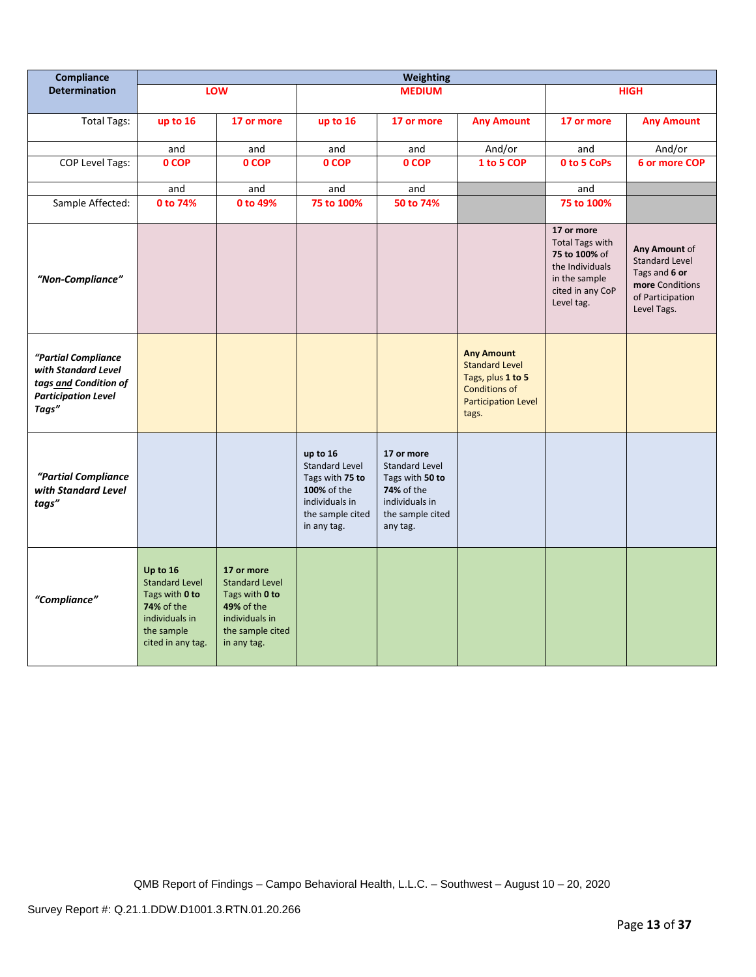| <b>Compliance</b>                                                                                          | Weighting                                                                                                              |                                                                                                                                 |                                                                                                                          |                                                                                                                               |                                                                                                                                |                                                                                                                             |                                                                                                               |
|------------------------------------------------------------------------------------------------------------|------------------------------------------------------------------------------------------------------------------------|---------------------------------------------------------------------------------------------------------------------------------|--------------------------------------------------------------------------------------------------------------------------|-------------------------------------------------------------------------------------------------------------------------------|--------------------------------------------------------------------------------------------------------------------------------|-----------------------------------------------------------------------------------------------------------------------------|---------------------------------------------------------------------------------------------------------------|
| <b>Determination</b>                                                                                       |                                                                                                                        | LOW                                                                                                                             |                                                                                                                          | <b>MEDIUM</b>                                                                                                                 |                                                                                                                                |                                                                                                                             | <b>HIGH</b>                                                                                                   |
| <b>Total Tags:</b>                                                                                         | up to 16                                                                                                               | 17 or more                                                                                                                      | up to 16                                                                                                                 | 17 or more                                                                                                                    | <b>Any Amount</b>                                                                                                              | 17 or more                                                                                                                  | <b>Any Amount</b>                                                                                             |
|                                                                                                            | and                                                                                                                    | and                                                                                                                             | and                                                                                                                      | and                                                                                                                           | And/or                                                                                                                         | and                                                                                                                         | And/or                                                                                                        |
| COP Level Tags:                                                                                            | 0 COP                                                                                                                  | 0 COP                                                                                                                           | 0 COP                                                                                                                    | 0 COP                                                                                                                         | 1 to 5 COP                                                                                                                     | 0 to 5 CoPs                                                                                                                 | 6 or more COP                                                                                                 |
|                                                                                                            | and                                                                                                                    | and                                                                                                                             | and                                                                                                                      | and                                                                                                                           |                                                                                                                                | and                                                                                                                         |                                                                                                               |
| Sample Affected:                                                                                           | 0 to 74%                                                                                                               | 0 to 49%                                                                                                                        | 75 to 100%                                                                                                               | 50 to 74%                                                                                                                     |                                                                                                                                | 75 to 100%                                                                                                                  |                                                                                                               |
| "Non-Compliance"                                                                                           |                                                                                                                        |                                                                                                                                 |                                                                                                                          |                                                                                                                               |                                                                                                                                | 17 or more<br><b>Total Tags with</b><br>75 to 100% of<br>the Individuals<br>in the sample<br>cited in any CoP<br>Level tag. | Any Amount of<br><b>Standard Level</b><br>Tags and 6 or<br>more Conditions<br>of Participation<br>Level Tags. |
| "Partial Compliance<br>with Standard Level<br>tags and Condition of<br><b>Participation Level</b><br>Tags" |                                                                                                                        |                                                                                                                                 |                                                                                                                          |                                                                                                                               | <b>Any Amount</b><br><b>Standard Level</b><br>Tags, plus 1 to 5<br><b>Conditions of</b><br><b>Participation Level</b><br>tags. |                                                                                                                             |                                                                                                               |
| "Partial Compliance<br>with Standard Level<br>tags"                                                        |                                                                                                                        |                                                                                                                                 | up to 16<br><b>Standard Level</b><br>Tags with 75 to<br>100% of the<br>individuals in<br>the sample cited<br>in any tag. | 17 or more<br><b>Standard Level</b><br>Tags with 50 to<br><b>74%</b> of the<br>individuals in<br>the sample cited<br>any tag. |                                                                                                                                |                                                                                                                             |                                                                                                               |
| "Compliance"                                                                                               | Up to 16<br><b>Standard Level</b><br>Tags with 0 to<br>74% of the<br>individuals in<br>the sample<br>cited in any tag. | 17 or more<br><b>Standard Level</b><br>Tags with 0 to<br><b>49% of the</b><br>individuals in<br>the sample cited<br>in any tag. |                                                                                                                          |                                                                                                                               |                                                                                                                                |                                                                                                                             |                                                                                                               |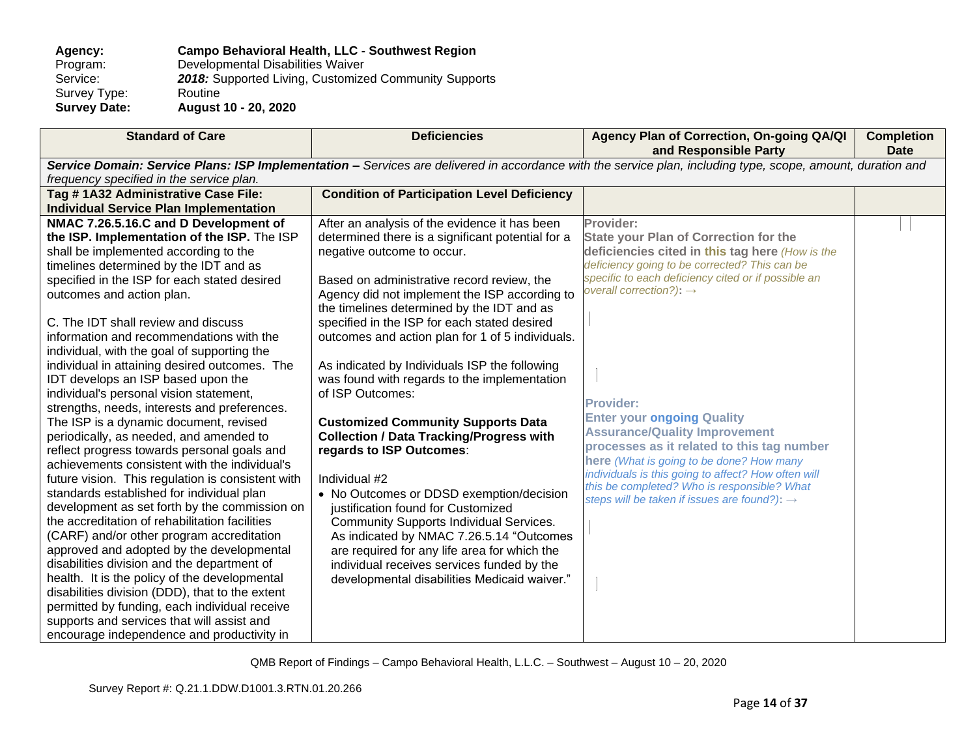## **Agency: Campo Behavioral Health, LLC - Southwest Region** Program: Developmental Disabilities Waiver<br>Service: 2018: Supported Living, Customize 2018: Supported Living, Customized Community Supports<br>Routine Survey Type:<br>Survey Date: **Survey Date: August 10 - 20, 2020**

| <b>Standard of Care</b>                           | <b>Deficiencies</b>                                | Agency Plan of Correction, On-going QA/QI<br>and Responsible Party                                                                                          | <b>Completion</b><br><b>Date</b> |
|---------------------------------------------------|----------------------------------------------------|-------------------------------------------------------------------------------------------------------------------------------------------------------------|----------------------------------|
|                                                   |                                                    | Service Domain: Service Plans: ISP Implementation - Services are delivered in accordance with the service plan, including type, scope, amount, duration and |                                  |
| frequency specified in the service plan.          |                                                    |                                                                                                                                                             |                                  |
| Tag #1A32 Administrative Case File:               | <b>Condition of Participation Level Deficiency</b> |                                                                                                                                                             |                                  |
| <b>Individual Service Plan Implementation</b>     |                                                    |                                                                                                                                                             |                                  |
| NMAC 7.26.5.16.C and D Development of             | After an analysis of the evidence it has been      | Provider:                                                                                                                                                   |                                  |
| the ISP. Implementation of the ISP. The ISP       | determined there is a significant potential for a  | <b>State your Plan of Correction for the</b>                                                                                                                |                                  |
| shall be implemented according to the             | negative outcome to occur.                         | deficiencies cited in this tag here (How is the                                                                                                             |                                  |
| timelines determined by the IDT and as            |                                                    | deficiency going to be corrected? This can be                                                                                                               |                                  |
| specified in the ISP for each stated desired      | Based on administrative record review, the         | specific to each deficiency cited or if possible an                                                                                                         |                                  |
| outcomes and action plan.                         | Agency did not implement the ISP according to      | overall correction?): $\rightarrow$                                                                                                                         |                                  |
|                                                   | the timelines determined by the IDT and as         |                                                                                                                                                             |                                  |
| C. The IDT shall review and discuss               | specified in the ISP for each stated desired       |                                                                                                                                                             |                                  |
| information and recommendations with the          | outcomes and action plan for 1 of 5 individuals.   |                                                                                                                                                             |                                  |
| individual, with the goal of supporting the       |                                                    |                                                                                                                                                             |                                  |
| individual in attaining desired outcomes. The     | As indicated by Individuals ISP the following      |                                                                                                                                                             |                                  |
| IDT develops an ISP based upon the                | was found with regards to the implementation       |                                                                                                                                                             |                                  |
| individual's personal vision statement,           | of ISP Outcomes:                                   | <b>Provider:</b>                                                                                                                                            |                                  |
| strengths, needs, interests and preferences.      |                                                    | <b>Enter your ongoing Quality</b>                                                                                                                           |                                  |
| The ISP is a dynamic document, revised            | <b>Customized Community Supports Data</b>          | <b>Assurance/Quality Improvement</b>                                                                                                                        |                                  |
| periodically, as needed, and amended to           | <b>Collection / Data Tracking/Progress with</b>    | processes as it related to this tag number                                                                                                                  |                                  |
| reflect progress towards personal goals and       | regards to ISP Outcomes:                           | here (What is going to be done? How many                                                                                                                    |                                  |
| achievements consistent with the individual's     |                                                    | individuals is this going to affect? How often will                                                                                                         |                                  |
| future vision. This regulation is consistent with | Individual #2                                      | this be completed? Who is responsible? What                                                                                                                 |                                  |
| standards established for individual plan         | • No Outcomes or DDSD exemption/decision           | steps will be taken if issues are found?): $\rightarrow$                                                                                                    |                                  |
| development as set forth by the commission on     | justification found for Customized                 |                                                                                                                                                             |                                  |
| the accreditation of rehabilitation facilities    | <b>Community Supports Individual Services.</b>     |                                                                                                                                                             |                                  |
| (CARF) and/or other program accreditation         | As indicated by NMAC 7.26.5.14 "Outcomes           |                                                                                                                                                             |                                  |
| approved and adopted by the developmental         | are required for any life area for which the       |                                                                                                                                                             |                                  |
| disabilities division and the department of       | individual receives services funded by the         |                                                                                                                                                             |                                  |
| health. It is the policy of the developmental     | developmental disabilities Medicaid waiver."       |                                                                                                                                                             |                                  |
| disabilities division (DDD), that to the extent   |                                                    |                                                                                                                                                             |                                  |
| permitted by funding, each individual receive     |                                                    |                                                                                                                                                             |                                  |
| supports and services that will assist and        |                                                    |                                                                                                                                                             |                                  |
| encourage independence and productivity in        |                                                    |                                                                                                                                                             |                                  |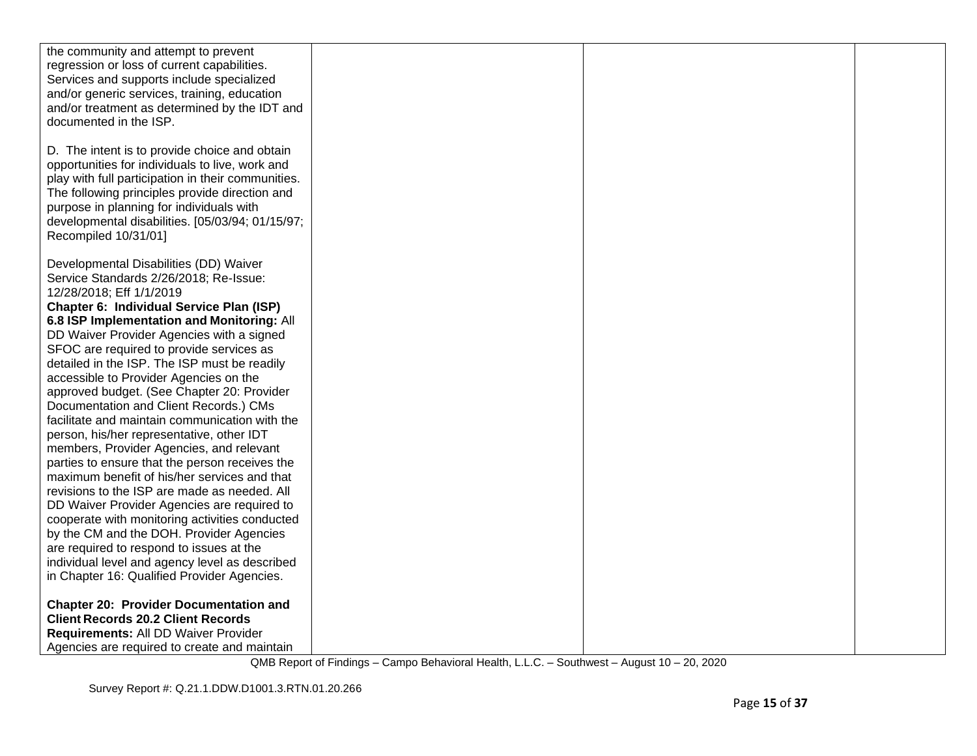| the community and attempt to prevent                                                         |  |  |
|----------------------------------------------------------------------------------------------|--|--|
| regression or loss of current capabilities.                                                  |  |  |
| Services and supports include specialized                                                    |  |  |
| and/or generic services, training, education                                                 |  |  |
| and/or treatment as determined by the IDT and                                                |  |  |
| documented in the ISP.                                                                       |  |  |
|                                                                                              |  |  |
| D. The intent is to provide choice and obtain                                                |  |  |
| opportunities for individuals to live, work and                                              |  |  |
| play with full participation in their communities.                                           |  |  |
| The following principles provide direction and                                               |  |  |
| purpose in planning for individuals with                                                     |  |  |
| developmental disabilities. [05/03/94; 01/15/97;                                             |  |  |
| Recompiled 10/31/01]                                                                         |  |  |
|                                                                                              |  |  |
| Developmental Disabilities (DD) Waiver                                                       |  |  |
| Service Standards 2/26/2018; Re-Issue:                                                       |  |  |
| 12/28/2018; Eff 1/1/2019                                                                     |  |  |
| Chapter 6: Individual Service Plan (ISP)                                                     |  |  |
|                                                                                              |  |  |
| 6.8 ISP Implementation and Monitoring: All                                                   |  |  |
| DD Waiver Provider Agencies with a signed                                                    |  |  |
| SFOC are required to provide services as                                                     |  |  |
| detailed in the ISP. The ISP must be readily                                                 |  |  |
| accessible to Provider Agencies on the                                                       |  |  |
| approved budget. (See Chapter 20: Provider                                                   |  |  |
| Documentation and Client Records.) CMs                                                       |  |  |
| facilitate and maintain communication with the                                               |  |  |
| person, his/her representative, other IDT                                                    |  |  |
| members, Provider Agencies, and relevant                                                     |  |  |
| parties to ensure that the person receives the                                               |  |  |
| maximum benefit of his/her services and that<br>revisions to the ISP are made as needed. All |  |  |
|                                                                                              |  |  |
| DD Waiver Provider Agencies are required to                                                  |  |  |
| cooperate with monitoring activities conducted<br>by the CM and the DOH. Provider Agencies   |  |  |
| are required to respond to issues at the                                                     |  |  |
| individual level and agency level as described                                               |  |  |
| in Chapter 16: Qualified Provider Agencies.                                                  |  |  |
|                                                                                              |  |  |
| <b>Chapter 20: Provider Documentation and</b>                                                |  |  |
| <b>Client Records 20.2 Client Records</b>                                                    |  |  |
| Requirements: All DD Waiver Provider                                                         |  |  |
| Agencies are required to create and maintain                                                 |  |  |
|                                                                                              |  |  |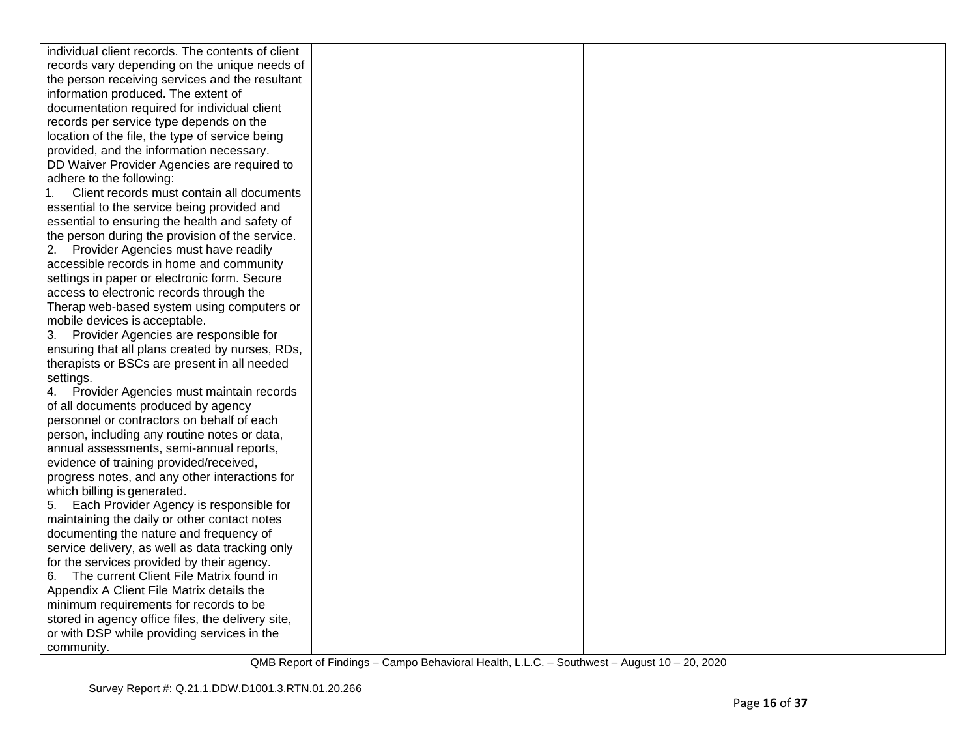| individual client records. The contents of client |  |  |
|---------------------------------------------------|--|--|
| records vary depending on the unique needs of     |  |  |
| the person receiving services and the resultant   |  |  |
| information produced. The extent of               |  |  |
| documentation required for individual client      |  |  |
| records per service type depends on the           |  |  |
| location of the file, the type of service being   |  |  |
| provided, and the information necessary.          |  |  |
| DD Waiver Provider Agencies are required to       |  |  |
| adhere to the following:                          |  |  |
| Client records must contain all documents         |  |  |
| essential to the service being provided and       |  |  |
| essential to ensuring the health and safety of    |  |  |
| the person during the provision of the service.   |  |  |
| 2. Provider Agencies must have readily            |  |  |
| accessible records in home and community          |  |  |
| settings in paper or electronic form. Secure      |  |  |
| access to electronic records through the          |  |  |
| Therap web-based system using computers or        |  |  |
| mobile devices is acceptable.                     |  |  |
| 3. Provider Agencies are responsible for          |  |  |
| ensuring that all plans created by nurses, RDs,   |  |  |
| therapists or BSCs are present in all needed      |  |  |
| settings.                                         |  |  |
| 4. Provider Agencies must maintain records        |  |  |
| of all documents produced by agency               |  |  |
| personnel or contractors on behalf of each        |  |  |
| person, including any routine notes or data,      |  |  |
| annual assessments, semi-annual reports,          |  |  |
| evidence of training provided/received,           |  |  |
| progress notes, and any other interactions for    |  |  |
| which billing is generated.                       |  |  |
| 5. Each Provider Agency is responsible for        |  |  |
| maintaining the daily or other contact notes      |  |  |
| documenting the nature and frequency of           |  |  |
| service delivery, as well as data tracking only   |  |  |
| for the services provided by their agency.        |  |  |
| The current Client File Matrix found in<br>6.     |  |  |
| Appendix A Client File Matrix details the         |  |  |
| minimum requirements for records to be            |  |  |
| stored in agency office files, the delivery site, |  |  |
| or with DSP while providing services in the       |  |  |
| community.                                        |  |  |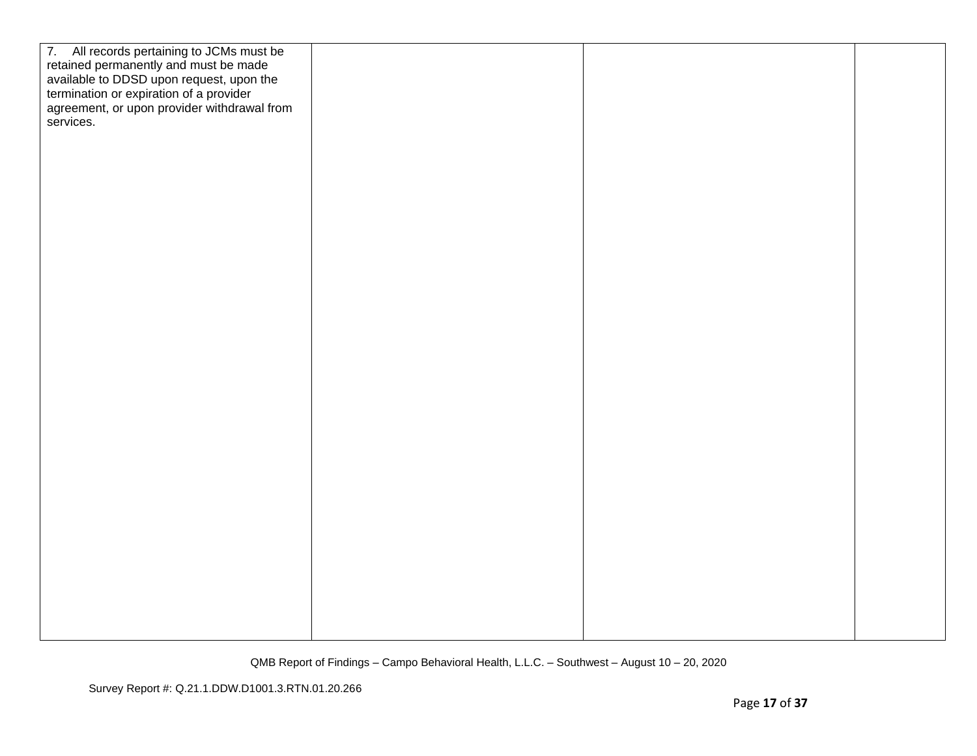| 7. All records pertaining to JCMs must be<br>retained permanently and must be made<br>available to DDSD upon request, upon the<br>termination or expiration of a provider<br>agreement, or upon provider withdrawal from<br>services. |  |  |
|---------------------------------------------------------------------------------------------------------------------------------------------------------------------------------------------------------------------------------------|--|--|
|                                                                                                                                                                                                                                       |  |  |
|                                                                                                                                                                                                                                       |  |  |
|                                                                                                                                                                                                                                       |  |  |
|                                                                                                                                                                                                                                       |  |  |
|                                                                                                                                                                                                                                       |  |  |
|                                                                                                                                                                                                                                       |  |  |
|                                                                                                                                                                                                                                       |  |  |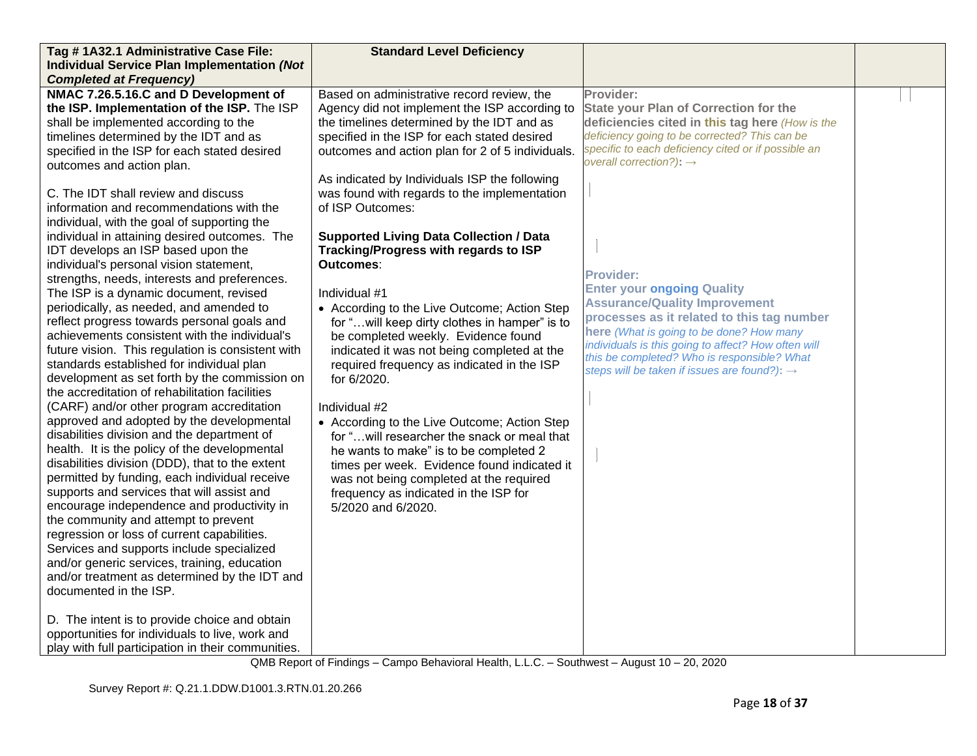| Tag #1A32.1 Administrative Case File:                                                     | <b>Standard Level Deficiency</b>                   |                                                          |  |
|-------------------------------------------------------------------------------------------|----------------------------------------------------|----------------------------------------------------------|--|
| <b>Individual Service Plan Implementation (Not</b>                                        |                                                    |                                                          |  |
| <b>Completed at Frequency)</b>                                                            |                                                    |                                                          |  |
| NMAC 7.26.5.16.C and D Development of                                                     | Based on administrative record review, the         | Provider:                                                |  |
| the ISP. Implementation of the ISP. The ISP                                               | Agency did not implement the ISP according to      | <b>State your Plan of Correction for the</b>             |  |
| shall be implemented according to the                                                     | the timelines determined by the IDT and as         | deficiencies cited in this tag here (How is the          |  |
| timelines determined by the IDT and as                                                    | specified in the ISP for each stated desired       | deficiency going to be corrected? This can be            |  |
| specified in the ISP for each stated desired                                              | outcomes and action plan for 2 of 5 individuals.   | specific to each deficiency cited or if possible an      |  |
| outcomes and action plan.                                                                 |                                                    | overall correction?): $\rightarrow$                      |  |
|                                                                                           | As indicated by Individuals ISP the following      |                                                          |  |
| C. The IDT shall review and discuss                                                       | was found with regards to the implementation       |                                                          |  |
| information and recommendations with the                                                  | of ISP Outcomes:                                   |                                                          |  |
| individual, with the goal of supporting the                                               |                                                    |                                                          |  |
| individual in attaining desired outcomes. The                                             | <b>Supported Living Data Collection / Data</b>     |                                                          |  |
| IDT develops an ISP based upon the<br>individual's personal vision statement,             | Tracking/Progress with regards to ISP<br>Outcomes: |                                                          |  |
| strengths, needs, interests and preferences.                                              |                                                    | <b>Provider:</b>                                         |  |
| The ISP is a dynamic document, revised                                                    | Individual #1                                      | <b>Enter your ongoing Quality</b>                        |  |
| periodically, as needed, and amended to                                                   | • According to the Live Outcome; Action Step       | <b>Assurance/Quality Improvement</b>                     |  |
| reflect progress towards personal goals and                                               | for " will keep dirty clothes in hamper" is to     | processes as it related to this tag number               |  |
| achievements consistent with the individual's                                             | be completed weekly. Evidence found                | here (What is going to be done? How many                 |  |
| future vision. This regulation is consistent with                                         | indicated it was not being completed at the        | individuals is this going to affect? How often will      |  |
| standards established for individual plan                                                 | required frequency as indicated in the ISP         | this be completed? Who is responsible? What              |  |
| development as set forth by the commission on                                             | for 6/2020.                                        | steps will be taken if issues are found?): $\rightarrow$ |  |
| the accreditation of rehabilitation facilities                                            |                                                    |                                                          |  |
| (CARF) and/or other program accreditation                                                 | Individual #2                                      |                                                          |  |
| approved and adopted by the developmental                                                 | • According to the Live Outcome; Action Step       |                                                          |  |
| disabilities division and the department of                                               | for " will researcher the snack or meal that       |                                                          |  |
| health. It is the policy of the developmental                                             | he wants to make" is to be completed 2             |                                                          |  |
| disabilities division (DDD), that to the extent                                           | times per week. Evidence found indicated it        |                                                          |  |
| permitted by funding, each individual receive                                             | was not being completed at the required            |                                                          |  |
| supports and services that will assist and                                                | frequency as indicated in the ISP for              |                                                          |  |
| encourage independence and productivity in                                                | 5/2020 and 6/2020.                                 |                                                          |  |
| the community and attempt to prevent                                                      |                                                    |                                                          |  |
| regression or loss of current capabilities.                                               |                                                    |                                                          |  |
| Services and supports include specialized<br>and/or generic services, training, education |                                                    |                                                          |  |
| and/or treatment as determined by the IDT and                                             |                                                    |                                                          |  |
| documented in the ISP.                                                                    |                                                    |                                                          |  |
|                                                                                           |                                                    |                                                          |  |
| D. The intent is to provide choice and obtain                                             |                                                    |                                                          |  |
| opportunities for individuals to live, work and                                           |                                                    |                                                          |  |
| play with full participation in their communities.                                        |                                                    |                                                          |  |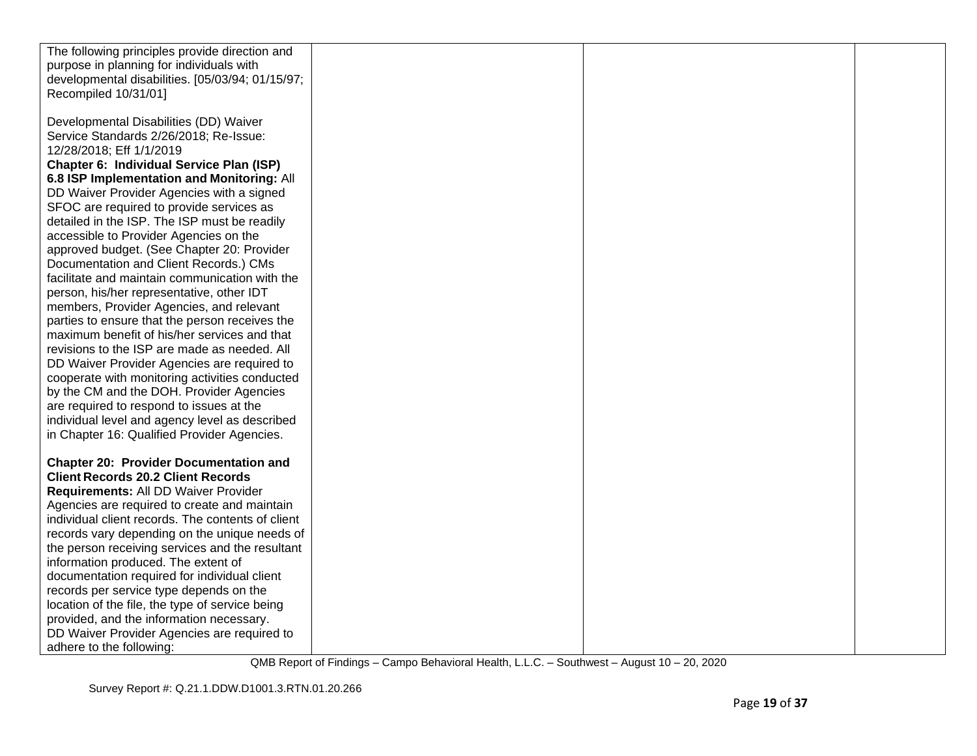| The following principles provide direction and    |  |  |
|---------------------------------------------------|--|--|
| purpose in planning for individuals with          |  |  |
| developmental disabilities. [05/03/94; 01/15/97;  |  |  |
| Recompiled 10/31/01]                              |  |  |
|                                                   |  |  |
|                                                   |  |  |
| Developmental Disabilities (DD) Waiver            |  |  |
| Service Standards 2/26/2018; Re-Issue:            |  |  |
| 12/28/2018; Eff 1/1/2019                          |  |  |
| <b>Chapter 6: Individual Service Plan (ISP)</b>   |  |  |
| 6.8 ISP Implementation and Monitoring: All        |  |  |
| DD Waiver Provider Agencies with a signed         |  |  |
| SFOC are required to provide services as          |  |  |
| detailed in the ISP. The ISP must be readily      |  |  |
| accessible to Provider Agencies on the            |  |  |
| approved budget. (See Chapter 20: Provider        |  |  |
| Documentation and Client Records.) CMs            |  |  |
| facilitate and maintain communication with the    |  |  |
| person, his/her representative, other IDT         |  |  |
| members, Provider Agencies, and relevant          |  |  |
| parties to ensure that the person receives the    |  |  |
| maximum benefit of his/her services and that      |  |  |
| revisions to the ISP are made as needed. All      |  |  |
| DD Waiver Provider Agencies are required to       |  |  |
| cooperate with monitoring activities conducted    |  |  |
| by the CM and the DOH. Provider Agencies          |  |  |
| are required to respond to issues at the          |  |  |
| individual level and agency level as described    |  |  |
|                                                   |  |  |
| in Chapter 16: Qualified Provider Agencies.       |  |  |
|                                                   |  |  |
| <b>Chapter 20: Provider Documentation and</b>     |  |  |
| <b>Client Records 20.2 Client Records</b>         |  |  |
| Requirements: All DD Waiver Provider              |  |  |
| Agencies are required to create and maintain      |  |  |
| individual client records. The contents of client |  |  |
| records vary depending on the unique needs of     |  |  |
| the person receiving services and the resultant   |  |  |
| information produced. The extent of               |  |  |
| documentation required for individual client      |  |  |
| records per service type depends on the           |  |  |
| location of the file, the type of service being   |  |  |
| provided, and the information necessary.          |  |  |
| DD Waiver Provider Agencies are required to       |  |  |
| adhere to the following:                          |  |  |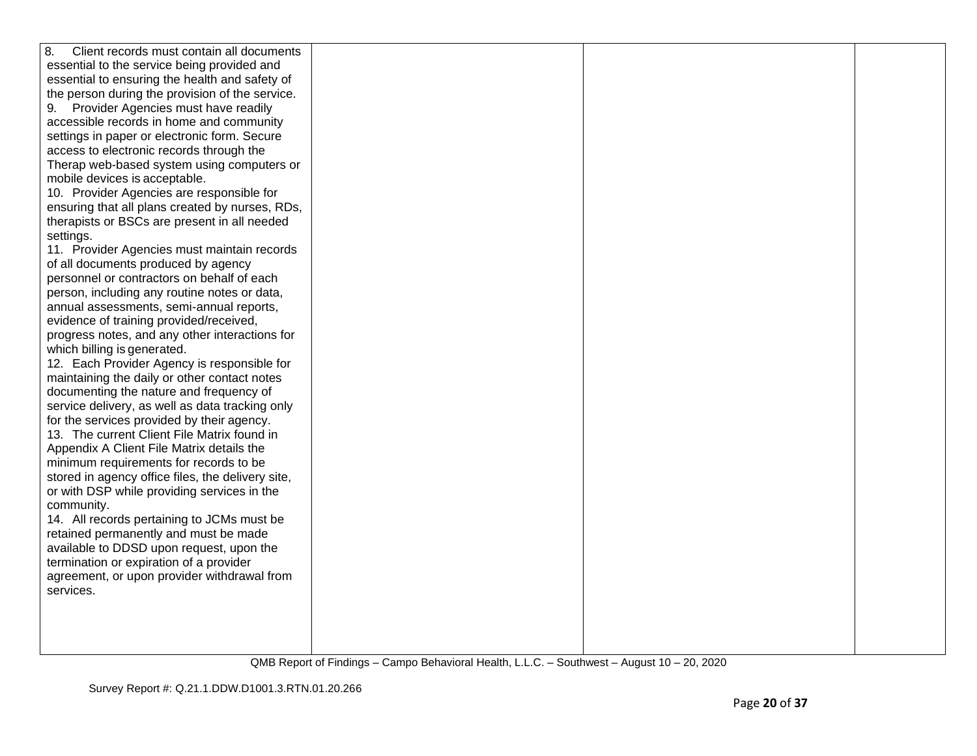| 8.<br>Client records must contain all documents                                     |  |  |
|-------------------------------------------------------------------------------------|--|--|
| essential to the service being provided and                                         |  |  |
| essential to ensuring the health and safety of                                      |  |  |
| the person during the provision of the service.                                     |  |  |
| 9. Provider Agencies must have readily                                              |  |  |
| accessible records in home and community                                            |  |  |
| settings in paper or electronic form. Secure                                        |  |  |
| access to electronic records through the                                            |  |  |
| Therap web-based system using computers or                                          |  |  |
| mobile devices is acceptable.                                                       |  |  |
| 10. Provider Agencies are responsible for                                           |  |  |
| ensuring that all plans created by nurses, RDs,                                     |  |  |
| therapists or BSCs are present in all needed                                        |  |  |
| settings.                                                                           |  |  |
| 11. Provider Agencies must maintain records                                         |  |  |
| of all documents produced by agency                                                 |  |  |
| personnel or contractors on behalf of each                                          |  |  |
| person, including any routine notes or data,                                        |  |  |
| annual assessments, semi-annual reports,                                            |  |  |
| evidence of training provided/received,                                             |  |  |
| progress notes, and any other interactions for                                      |  |  |
| which billing is generated.                                                         |  |  |
| 12. Each Provider Agency is responsible for                                         |  |  |
| maintaining the daily or other contact notes                                        |  |  |
| documenting the nature and frequency of                                             |  |  |
| service delivery, as well as data tracking only                                     |  |  |
| for the services provided by their agency.                                          |  |  |
| 13. The current Client File Matrix found in                                         |  |  |
| Appendix A Client File Matrix details the                                           |  |  |
| minimum requirements for records to be                                              |  |  |
| stored in agency office files, the delivery site,                                   |  |  |
| or with DSP while providing services in the                                         |  |  |
| community.                                                                          |  |  |
| 14. All records pertaining to JCMs must be                                          |  |  |
| retained permanently and must be made                                               |  |  |
| available to DDSD upon request, upon the<br>termination or expiration of a provider |  |  |
| agreement, or upon provider withdrawal from                                         |  |  |
| services.                                                                           |  |  |
|                                                                                     |  |  |
|                                                                                     |  |  |
|                                                                                     |  |  |
|                                                                                     |  |  |
|                                                                                     |  |  |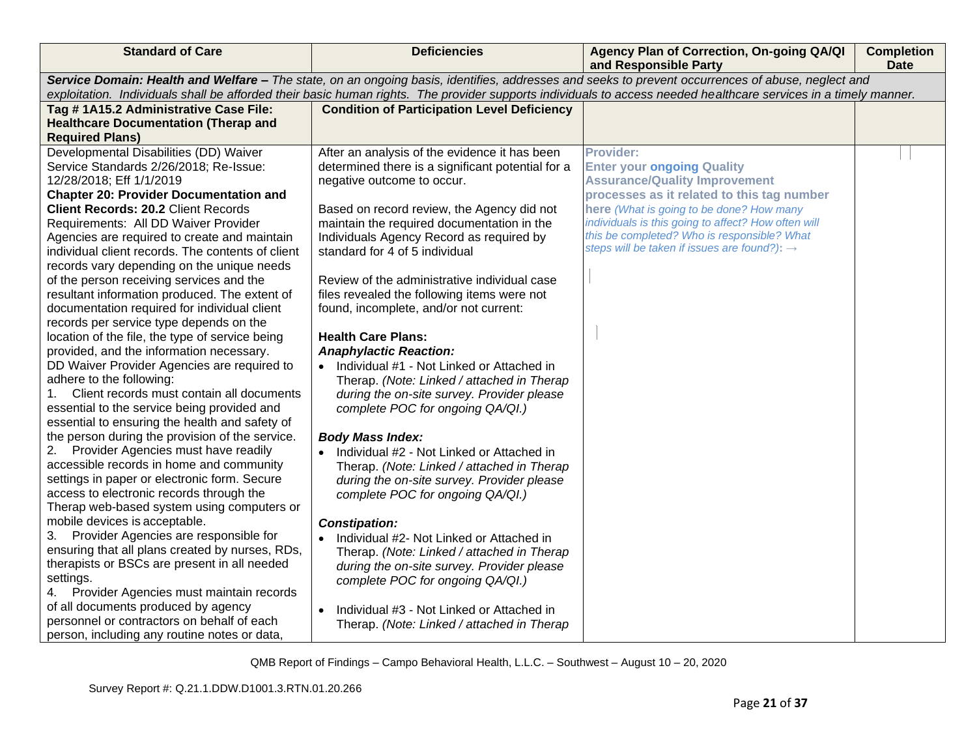| <b>Standard of Care</b>                                  | <b>Deficiencies</b>                                    | Agency Plan of Correction, On-going QA/QI<br>and Responsible Party                                                                                               | <b>Completion</b><br><b>Date</b> |
|----------------------------------------------------------|--------------------------------------------------------|------------------------------------------------------------------------------------------------------------------------------------------------------------------|----------------------------------|
|                                                          |                                                        | Service Domain: Health and Welfare - The state, on an ongoing basis, identifies, addresses and seeks to prevent occurrences of abuse, neglect and                |                                  |
|                                                          |                                                        | exploitation. Individuals shall be afforded their basic human rights. The provider supports individuals to access needed healthcare services in a timely manner. |                                  |
| Tag #1A15.2 Administrative Case File:                    | <b>Condition of Participation Level Deficiency</b>     |                                                                                                                                                                  |                                  |
| <b>Healthcare Documentation (Therap and</b>              |                                                        |                                                                                                                                                                  |                                  |
| <b>Required Plans)</b>                                   |                                                        |                                                                                                                                                                  |                                  |
| Developmental Disabilities (DD) Waiver                   | After an analysis of the evidence it has been          | <b>Provider:</b>                                                                                                                                                 |                                  |
| Service Standards 2/26/2018; Re-Issue:                   | determined there is a significant potential for a      | <b>Enter your ongoing Quality</b>                                                                                                                                |                                  |
| 12/28/2018; Eff 1/1/2019                                 | negative outcome to occur.                             | <b>Assurance/Quality Improvement</b>                                                                                                                             |                                  |
| <b>Chapter 20: Provider Documentation and</b>            |                                                        | processes as it related to this tag number                                                                                                                       |                                  |
| <b>Client Records: 20.2 Client Records</b>               | Based on record review, the Agency did not             | here (What is going to be done? How many                                                                                                                         |                                  |
| Requirements: All DD Waiver Provider                     | maintain the required documentation in the             | individuals is this going to affect? How often will                                                                                                              |                                  |
| Agencies are required to create and maintain             | Individuals Agency Record as required by               | this be completed? Who is responsible? What                                                                                                                      |                                  |
| individual client records. The contents of client        | standard for 4 of 5 individual                         | steps will be taken if issues are found?): $\rightarrow$                                                                                                         |                                  |
| records vary depending on the unique needs               |                                                        |                                                                                                                                                                  |                                  |
| of the person receiving services and the                 | Review of the administrative individual case           |                                                                                                                                                                  |                                  |
| resultant information produced. The extent of            | files revealed the following items were not            |                                                                                                                                                                  |                                  |
| documentation required for individual client             | found, incomplete, and/or not current:                 |                                                                                                                                                                  |                                  |
| records per service type depends on the                  |                                                        |                                                                                                                                                                  |                                  |
| location of the file, the type of service being          | <b>Health Care Plans:</b>                              |                                                                                                                                                                  |                                  |
| provided, and the information necessary.                 | <b>Anaphylactic Reaction:</b>                          |                                                                                                                                                                  |                                  |
| DD Waiver Provider Agencies are required to              | Individual #1 - Not Linked or Attached in<br>$\bullet$ |                                                                                                                                                                  |                                  |
| adhere to the following:                                 | Therap. (Note: Linked / attached in Therap             |                                                                                                                                                                  |                                  |
| $1_{\cdot}$<br>Client records must contain all documents | during the on-site survey. Provider please             |                                                                                                                                                                  |                                  |
| essential to the service being provided and              | complete POC for ongoing QA/QI.)                       |                                                                                                                                                                  |                                  |
| essential to ensuring the health and safety of           |                                                        |                                                                                                                                                                  |                                  |
| the person during the provision of the service.          | <b>Body Mass Index:</b>                                |                                                                                                                                                                  |                                  |
| 2.<br>Provider Agencies must have readily                | Individual #2 - Not Linked or Attached in              |                                                                                                                                                                  |                                  |
| accessible records in home and community                 | Therap. (Note: Linked / attached in Therap             |                                                                                                                                                                  |                                  |
| settings in paper or electronic form. Secure             | during the on-site survey. Provider please             |                                                                                                                                                                  |                                  |
| access to electronic records through the                 | complete POC for ongoing QA/QI.)                       |                                                                                                                                                                  |                                  |
| Therap web-based system using computers or               |                                                        |                                                                                                                                                                  |                                  |
| mobile devices is acceptable.                            | <b>Constipation:</b>                                   |                                                                                                                                                                  |                                  |
| Provider Agencies are responsible for<br>3.              | Individual #2- Not Linked or Attached in<br>$\bullet$  |                                                                                                                                                                  |                                  |
| ensuring that all plans created by nurses, RDs,          | Therap. (Note: Linked / attached in Therap             |                                                                                                                                                                  |                                  |
| therapists or BSCs are present in all needed             | during the on-site survey. Provider please             |                                                                                                                                                                  |                                  |
| settings.                                                | complete POC for ongoing QA/QI.)                       |                                                                                                                                                                  |                                  |
| Provider Agencies must maintain records<br>4.            |                                                        |                                                                                                                                                                  |                                  |
| of all documents produced by agency                      | Individual #3 - Not Linked or Attached in<br>$\bullet$ |                                                                                                                                                                  |                                  |
| personnel or contractors on behalf of each               | Therap. (Note: Linked / attached in Therap             |                                                                                                                                                                  |                                  |
| person, including any routine notes or data,             |                                                        |                                                                                                                                                                  |                                  |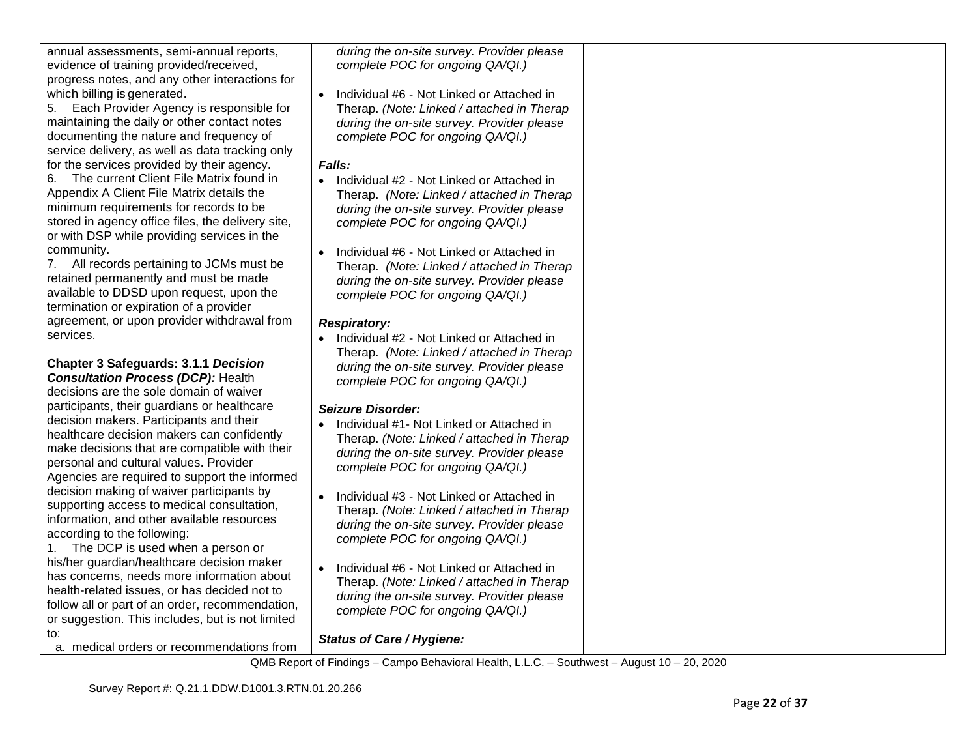| annual assessments, semi-annual reports,          | during the on-site survey. Provider please             |  |
|---------------------------------------------------|--------------------------------------------------------|--|
| evidence of training provided/received,           | complete POC for ongoing QA/QI.)                       |  |
| progress notes, and any other interactions for    |                                                        |  |
| which billing is generated.                       | Individual #6 - Not Linked or Attached in<br>$\bullet$ |  |
| Each Provider Agency is responsible for<br>5.     | Therap. (Note: Linked / attached in Therap             |  |
| maintaining the daily or other contact notes      | during the on-site survey. Provider please             |  |
| documenting the nature and frequency of           | complete POC for ongoing QA/QI.)                       |  |
| service delivery, as well as data tracking only   |                                                        |  |
| for the services provided by their agency.        | Falls:                                                 |  |
| The current Client File Matrix found in<br>6.     | • Individual #2 - Not Linked or Attached in            |  |
| Appendix A Client File Matrix details the         | Therap. (Note: Linked / attached in Therap             |  |
| minimum requirements for records to be            | during the on-site survey. Provider please             |  |
| stored in agency office files, the delivery site, | complete POC for ongoing QA/QI.)                       |  |
| or with DSP while providing services in the       |                                                        |  |
| community.                                        | Individual #6 - Not Linked or Attached in              |  |
| 7. All records pertaining to JCMs must be         | Therap. (Note: Linked / attached in Therap             |  |
| retained permanently and must be made             | during the on-site survey. Provider please             |  |
| available to DDSD upon request, upon the          | complete POC for ongoing QA/QI.)                       |  |
| termination or expiration of a provider           |                                                        |  |
| agreement, or upon provider withdrawal from       | <b>Respiratory:</b>                                    |  |
| services.                                         | Individual #2 - Not Linked or Attached in              |  |
|                                                   | Therap. (Note: Linked / attached in Therap             |  |
| <b>Chapter 3 Safeguards: 3.1.1 Decision</b>       | during the on-site survey. Provider please             |  |
| <b>Consultation Process (DCP): Health</b>         | complete POC for ongoing QA/QI.)                       |  |
| decisions are the sole domain of waiver           |                                                        |  |
| participants, their guardians or healthcare       | <b>Seizure Disorder:</b>                               |  |
| decision makers. Participants and their           | Individual #1- Not Linked or Attached in               |  |
| healthcare decision makers can confidently        | Therap. (Note: Linked / attached in Therap             |  |
| make decisions that are compatible with their     | during the on-site survey. Provider please             |  |
| personal and cultural values. Provider            | complete POC for ongoing QA/QI.)                       |  |
| Agencies are required to support the informed     |                                                        |  |
| decision making of waiver participants by         | Individual #3 - Not Linked or Attached in              |  |
| supporting access to medical consultation,        | Therap. (Note: Linked / attached in Therap             |  |
| information, and other available resources        | during the on-site survey. Provider please             |  |
| according to the following:                       | complete POC for ongoing QA/QI.)                       |  |
| The DCP is used when a person or<br>1.            |                                                        |  |
| his/her guardian/healthcare decision maker        | Individual #6 - Not Linked or Attached in<br>$\bullet$ |  |
| has concerns, needs more information about        | Therap. (Note: Linked / attached in Therap             |  |
| health-related issues, or has decided not to      | during the on-site survey. Provider please             |  |
| follow all or part of an order, recommendation,   | complete POC for ongoing QA/QI.)                       |  |
| or suggestion. This includes, but is not limited  |                                                        |  |
| to:                                               | <b>Status of Care / Hygiene:</b>                       |  |
| a. medical orders or recommendations from         |                                                        |  |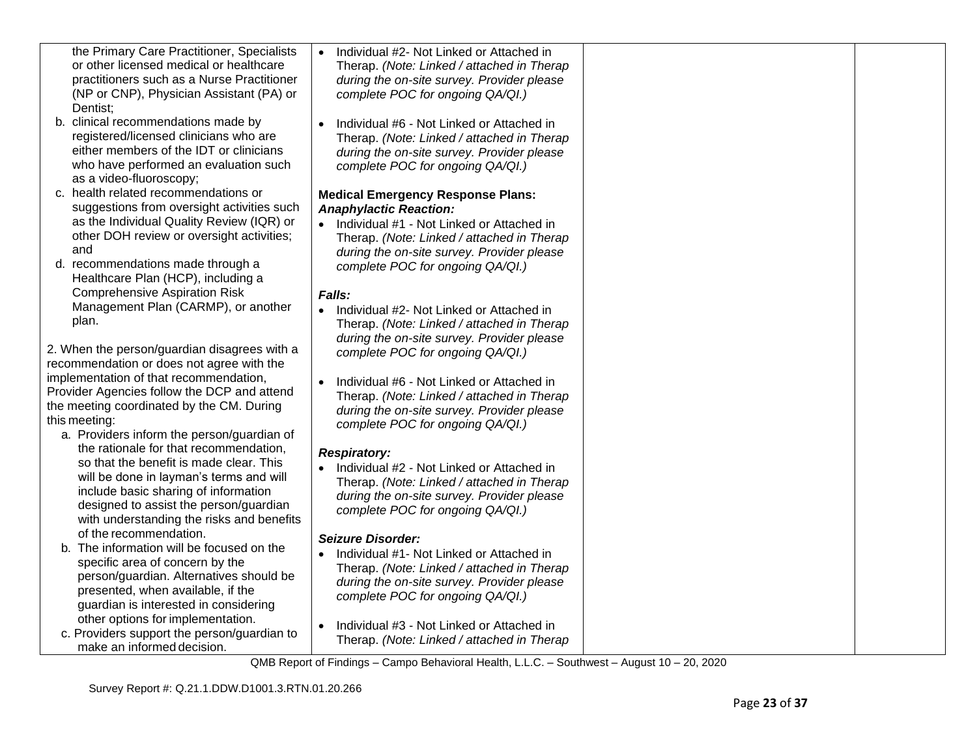| the Primary Care Practitioner, Specialists<br>or other licensed medical or healthcare<br>practitioners such as a Nurse Practitioner                                                                            | Individual #2- Not Linked or Attached in<br>Therap. (Note: Linked / attached in Therap<br>during the on-site survey. Provider please                                                                 |  |
|----------------------------------------------------------------------------------------------------------------------------------------------------------------------------------------------------------------|------------------------------------------------------------------------------------------------------------------------------------------------------------------------------------------------------|--|
| (NP or CNP), Physician Assistant (PA) or<br>Dentist;                                                                                                                                                           | complete POC for ongoing QA/QI.)                                                                                                                                                                     |  |
| b. clinical recommendations made by<br>registered/licensed clinicians who are<br>either members of the IDT or clinicians<br>who have performed an evaluation such                                              | Individual #6 - Not Linked or Attached in<br>Therap. (Note: Linked / attached in Therap<br>during the on-site survey. Provider please<br>complete POC for ongoing QA/QI.)                            |  |
| as a video-fluoroscopy;<br>c. health related recommendations or<br>suggestions from oversight activities such                                                                                                  | <b>Medical Emergency Response Plans:</b><br><b>Anaphylactic Reaction:</b>                                                                                                                            |  |
| as the Individual Quality Review (IQR) or<br>other DOH review or oversight activities;<br>and                                                                                                                  | • Individual #1 - Not Linked or Attached in<br>Therap. (Note: Linked / attached in Therap<br>during the on-site survey. Provider please                                                              |  |
| d. recommendations made through a<br>Healthcare Plan (HCP), including a<br><b>Comprehensive Aspiration Risk</b>                                                                                                | complete POC for ongoing QA/QI.)<br>Falls:                                                                                                                                                           |  |
| Management Plan (CARMP), or another<br>plan.                                                                                                                                                                   | Individual #2- Not Linked or Attached in<br>$\bullet$<br>Therap. (Note: Linked / attached in Therap<br>during the on-site survey. Provider please                                                    |  |
| 2. When the person/guardian disagrees with a<br>recommendation or does not agree with the                                                                                                                      | complete POC for ongoing QA/QI.)                                                                                                                                                                     |  |
| implementation of that recommendation,<br>Provider Agencies follow the DCP and attend<br>the meeting coordinated by the CM. During<br>this meeting:<br>a. Providers inform the person/guardian of              | Individual #6 - Not Linked or Attached in<br>Therap. (Note: Linked / attached in Therap<br>during the on-site survey. Provider please<br>complete POC for ongoing QA/QI.)                            |  |
| the rationale for that recommendation,<br>so that the benefit is made clear. This<br>will be done in layman's terms and will<br>include basic sharing of information<br>designed to assist the person/guardian | <b>Respiratory:</b><br>• Individual $#2$ - Not Linked or Attached in<br>Therap. (Note: Linked / attached in Therap<br>during the on-site survey. Provider please<br>complete POC for ongoing QA/QI.) |  |
| with understanding the risks and benefits<br>of the recommendation.<br>b. The information will be focused on the                                                                                               | <b>Seizure Disorder:</b><br>Individual #1- Not Linked or Attached in                                                                                                                                 |  |
| specific area of concern by the<br>person/guardian. Alternatives should be<br>presented, when available, if the<br>guardian is interested in considering                                                       | Therap. (Note: Linked / attached in Therap<br>during the on-site survey. Provider please<br>complete POC for ongoing QA/QI.)                                                                         |  |
| other options for implementation.<br>c. Providers support the person/guardian to<br>make an informed decision.                                                                                                 | Individual #3 - Not Linked or Attached in<br>$\bullet$<br>Therap. (Note: Linked / attached in Therap                                                                                                 |  |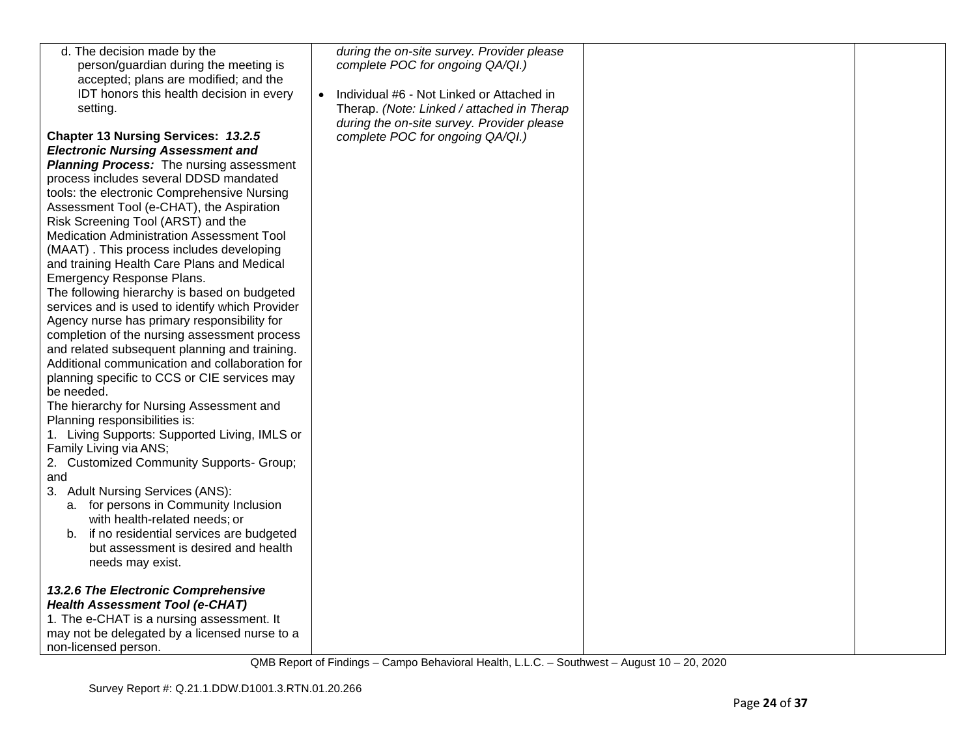| d. The decision made by the                     | during the on-site survey. Provider please             |  |
|-------------------------------------------------|--------------------------------------------------------|--|
| person/guardian during the meeting is           | complete POC for ongoing QA/QI.)                       |  |
| accepted; plans are modified; and the           |                                                        |  |
| IDT honors this health decision in every        | Individual #6 - Not Linked or Attached in<br>$\bullet$ |  |
| setting.                                        | Therap. (Note: Linked / attached in Therap             |  |
|                                                 | during the on-site survey. Provider please             |  |
| Chapter 13 Nursing Services: 13.2.5             | complete POC for ongoing QA/QI.)                       |  |
| <b>Electronic Nursing Assessment and</b>        |                                                        |  |
| Planning Process: The nursing assessment        |                                                        |  |
| process includes several DDSD mandated          |                                                        |  |
| tools: the electronic Comprehensive Nursing     |                                                        |  |
| Assessment Tool (e-CHAT), the Aspiration        |                                                        |  |
| Risk Screening Tool (ARST) and the              |                                                        |  |
| Medication Administration Assessment Tool       |                                                        |  |
| (MAAT). This process includes developing        |                                                        |  |
| and training Health Care Plans and Medical      |                                                        |  |
| Emergency Response Plans.                       |                                                        |  |
| The following hierarchy is based on budgeted    |                                                        |  |
| services and is used to identify which Provider |                                                        |  |
| Agency nurse has primary responsibility for     |                                                        |  |
| completion of the nursing assessment process    |                                                        |  |
| and related subsequent planning and training.   |                                                        |  |
| Additional communication and collaboration for  |                                                        |  |
| planning specific to CCS or CIE services may    |                                                        |  |
| be needed.                                      |                                                        |  |
| The hierarchy for Nursing Assessment and        |                                                        |  |
| Planning responsibilities is:                   |                                                        |  |
| 1. Living Supports: Supported Living, IMLS or   |                                                        |  |
| Family Living via ANS;                          |                                                        |  |
| 2. Customized Community Supports- Group;        |                                                        |  |
| and                                             |                                                        |  |
| 3. Adult Nursing Services (ANS):                |                                                        |  |
| a. for persons in Community Inclusion           |                                                        |  |
| with health-related needs; or                   |                                                        |  |
| b. if no residential services are budgeted      |                                                        |  |
| but assessment is desired and health            |                                                        |  |
| needs may exist.                                |                                                        |  |
| 13.2.6 The Electronic Comprehensive             |                                                        |  |
| <b>Health Assessment Tool (e-CHAT)</b>          |                                                        |  |
| 1. The e-CHAT is a nursing assessment. It       |                                                        |  |
| may not be delegated by a licensed nurse to a   |                                                        |  |
|                                                 |                                                        |  |
| non-licensed person.                            |                                                        |  |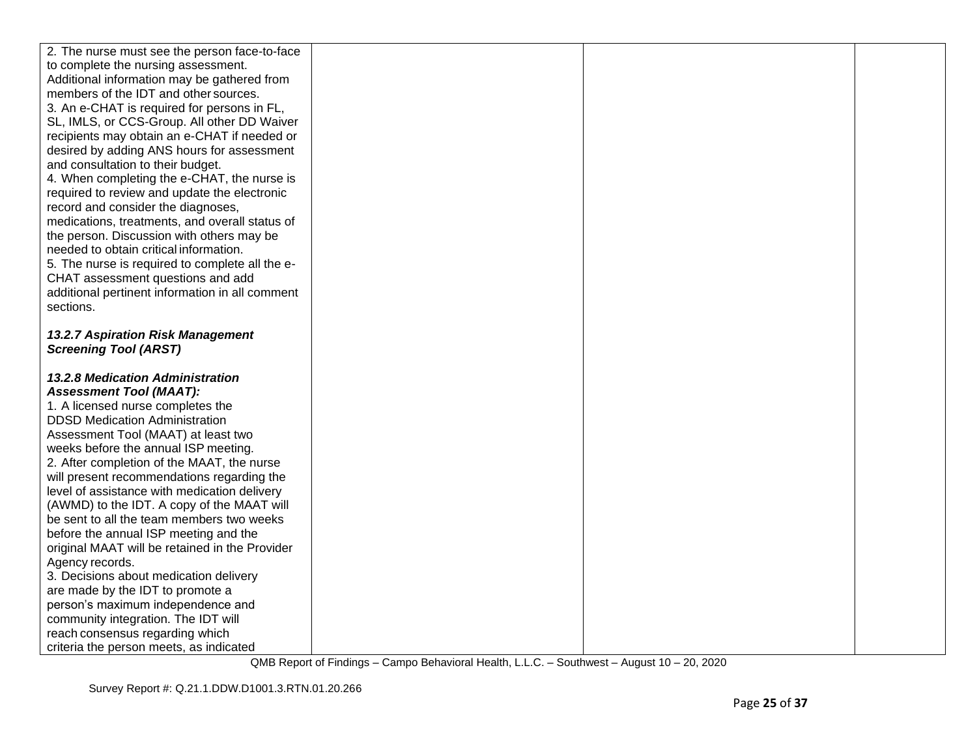| 2. The nurse must see the person face-to-face   |  |  |
|-------------------------------------------------|--|--|
| to complete the nursing assessment.             |  |  |
| Additional information may be gathered from     |  |  |
| members of the IDT and other sources.           |  |  |
| 3. An e-CHAT is required for persons in FL,     |  |  |
| SL, IMLS, or CCS-Group. All other DD Waiver     |  |  |
| recipients may obtain an e-CHAT if needed or    |  |  |
| desired by adding ANS hours for assessment      |  |  |
| and consultation to their budget.               |  |  |
| 4. When completing the e-CHAT, the nurse is     |  |  |
| required to review and update the electronic    |  |  |
| record and consider the diagnoses,              |  |  |
| medications, treatments, and overall status of  |  |  |
| the person. Discussion with others may be       |  |  |
| needed to obtain critical information.          |  |  |
| 5. The nurse is required to complete all the e- |  |  |
| CHAT assessment questions and add               |  |  |
| additional pertinent information in all comment |  |  |
| sections.                                       |  |  |
|                                                 |  |  |
| 13.2.7 Aspiration Risk Management               |  |  |
| <b>Screening Tool (ARST)</b>                    |  |  |
|                                                 |  |  |
| <b>13.2.8 Medication Administration</b>         |  |  |
| <b>Assessment Tool (MAAT):</b>                  |  |  |
| 1. A licensed nurse completes the               |  |  |
| <b>DDSD Medication Administration</b>           |  |  |
| Assessment Tool (MAAT) at least two             |  |  |
| weeks before the annual ISP meeting.            |  |  |
| 2. After completion of the MAAT, the nurse      |  |  |
| will present recommendations regarding the      |  |  |
| level of assistance with medication delivery    |  |  |
| (AWMD) to the IDT. A copy of the MAAT will      |  |  |
| be sent to all the team members two weeks       |  |  |
| before the annual ISP meeting and the           |  |  |
| original MAAT will be retained in the Provider  |  |  |
| Agency records.                                 |  |  |
| 3. Decisions about medication delivery          |  |  |
| are made by the IDT to promote a                |  |  |
| person's maximum independence and               |  |  |
| community integration. The IDT will             |  |  |
| reach consensus regarding which                 |  |  |
| criteria the person meets, as indicated         |  |  |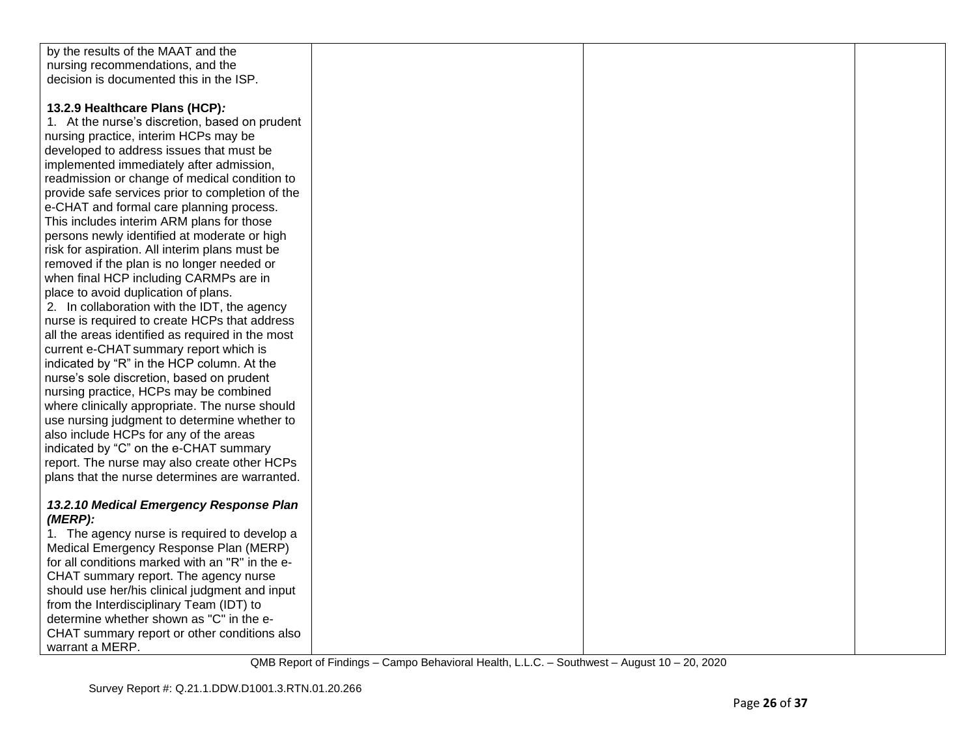| by the results of the MAAT and the               |  |  |
|--------------------------------------------------|--|--|
| nursing recommendations, and the                 |  |  |
| decision is documented this in the ISP.          |  |  |
|                                                  |  |  |
|                                                  |  |  |
| 13.2.9 Healthcare Plans (HCP):                   |  |  |
| 1. At the nurse's discretion, based on prudent   |  |  |
| nursing practice, interim HCPs may be            |  |  |
| developed to address issues that must be         |  |  |
| implemented immediately after admission,         |  |  |
| readmission or change of medical condition to    |  |  |
| provide safe services prior to completion of the |  |  |
| e-CHAT and formal care planning process.         |  |  |
| This includes interim ARM plans for those        |  |  |
| persons newly identified at moderate or high     |  |  |
| risk for aspiration. All interim plans must be   |  |  |
| removed if the plan is no longer needed or       |  |  |
| when final HCP including CARMPs are in           |  |  |
| place to avoid duplication of plans.             |  |  |
| 2. In collaboration with the IDT, the agency     |  |  |
| nurse is required to create HCPs that address    |  |  |
| all the areas identified as required in the most |  |  |
| current e-CHAT summary report which is           |  |  |
| indicated by "R" in the HCP column. At the       |  |  |
| nurse's sole discretion, based on prudent        |  |  |
| nursing practice, HCPs may be combined           |  |  |
| where clinically appropriate. The nurse should   |  |  |
| use nursing judgment to determine whether to     |  |  |
| also include HCPs for any of the areas           |  |  |
| indicated by "C" on the e-CHAT summary           |  |  |
| report. The nurse may also create other HCPs     |  |  |
| plans that the nurse determines are warranted.   |  |  |
|                                                  |  |  |
| 13.2.10 Medical Emergency Response Plan          |  |  |
| $(MERP)$ :                                       |  |  |
| 1. The agency nurse is required to develop a     |  |  |
| Medical Emergency Response Plan (MERP)           |  |  |
| for all conditions marked with an "R" in the e-  |  |  |
| CHAT summary report. The agency nurse            |  |  |
| should use her/his clinical judgment and input   |  |  |
| from the Interdisciplinary Team (IDT) to         |  |  |
| determine whether shown as "C" in the e-         |  |  |
| CHAT summary report or other conditions also     |  |  |
| warrant a MERP.                                  |  |  |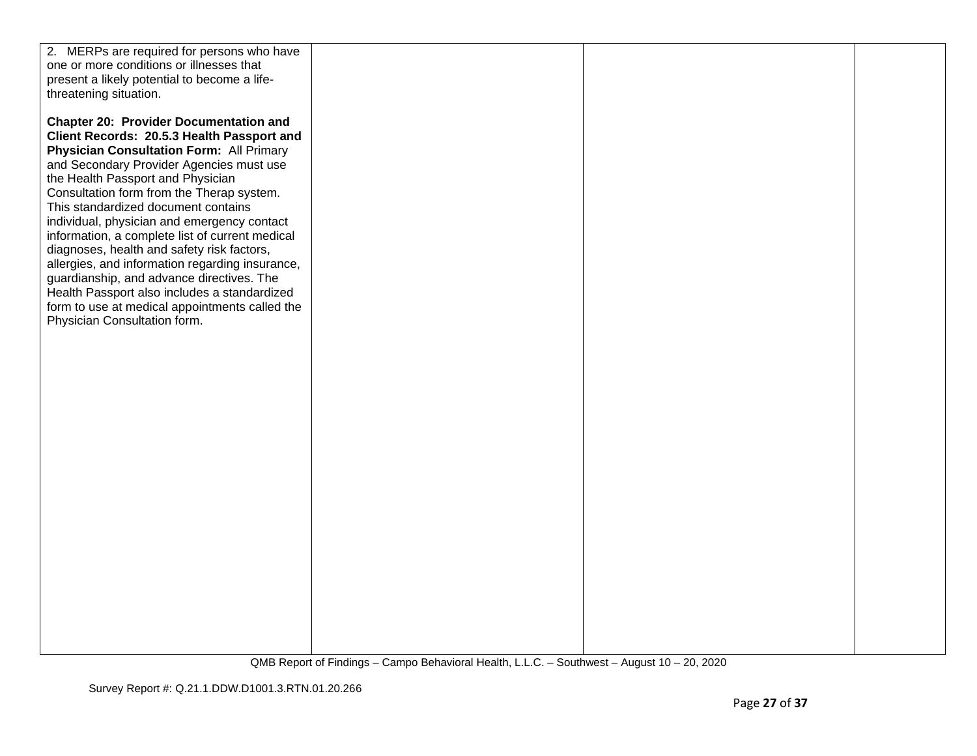| 2. MERPs are required for persons who have      |  |  |
|-------------------------------------------------|--|--|
| one or more conditions or illnesses that        |  |  |
| present a likely potential to become a life-    |  |  |
| threatening situation.                          |  |  |
|                                                 |  |  |
| <b>Chapter 20: Provider Documentation and</b>   |  |  |
| Client Records: 20.5.3 Health Passport and      |  |  |
| <b>Physician Consultation Form: All Primary</b> |  |  |
| and Secondary Provider Agencies must use        |  |  |
| the Health Passport and Physician               |  |  |
| Consultation form from the Therap system.       |  |  |
| This standardized document contains             |  |  |
| individual, physician and emergency contact     |  |  |
| information, a complete list of current medical |  |  |
| diagnoses, health and safety risk factors,      |  |  |
| allergies, and information regarding insurance, |  |  |
| guardianship, and advance directives. The       |  |  |
| Health Passport also includes a standardized    |  |  |
| form to use at medical appointments called the  |  |  |
| Physician Consultation form.                    |  |  |
|                                                 |  |  |
|                                                 |  |  |
|                                                 |  |  |
|                                                 |  |  |
|                                                 |  |  |
|                                                 |  |  |
|                                                 |  |  |
|                                                 |  |  |
|                                                 |  |  |
|                                                 |  |  |
|                                                 |  |  |
|                                                 |  |  |
|                                                 |  |  |
|                                                 |  |  |
|                                                 |  |  |
|                                                 |  |  |
|                                                 |  |  |
|                                                 |  |  |
|                                                 |  |  |
|                                                 |  |  |
|                                                 |  |  |
|                                                 |  |  |
|                                                 |  |  |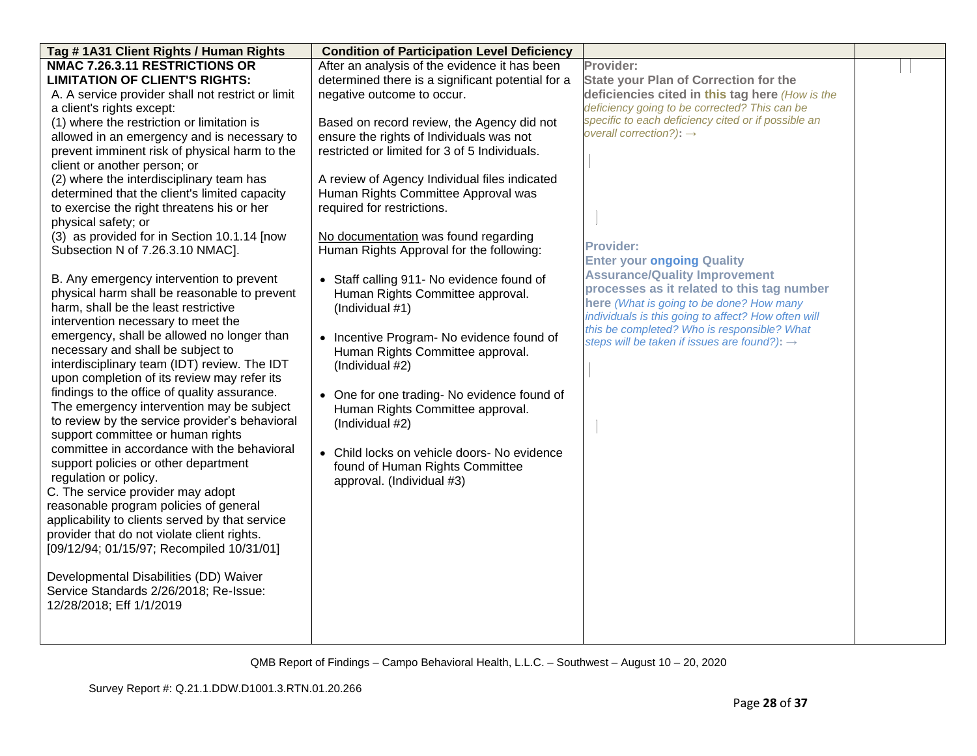| Tag # 1A31 Client Rights / Human Rights           | <b>Condition of Participation Level Deficiency</b> |                                                          |  |
|---------------------------------------------------|----------------------------------------------------|----------------------------------------------------------|--|
| NMAC 7.26.3.11 RESTRICTIONS OR                    | After an analysis of the evidence it has been      | Provider:                                                |  |
| <b>LIMITATION OF CLIENT'S RIGHTS:</b>             | determined there is a significant potential for a  | State your Plan of Correction for the                    |  |
| A. A service provider shall not restrict or limit | negative outcome to occur.                         | deficiencies cited in this tag here (How is the          |  |
| a client's rights except:                         |                                                    | deficiency going to be corrected? This can be            |  |
| (1) where the restriction or limitation is        | Based on record review, the Agency did not         | specific to each deficiency cited or if possible an      |  |
| allowed in an emergency and is necessary to       | ensure the rights of Individuals was not           | overall correction?): $\rightarrow$                      |  |
| prevent imminent risk of physical harm to the     | restricted or limited for 3 of 5 Individuals.      |                                                          |  |
| client or another person; or                      |                                                    |                                                          |  |
| (2) where the interdisciplinary team has          | A review of Agency Individual files indicated      |                                                          |  |
| determined that the client's limited capacity     | Human Rights Committee Approval was                |                                                          |  |
| to exercise the right threatens his or her        | required for restrictions.                         |                                                          |  |
| physical safety; or                               |                                                    |                                                          |  |
| (3) as provided for in Section 10.1.14 [now       | No documentation was found regarding               |                                                          |  |
| Subsection N of 7.26.3.10 NMAC].                  | Human Rights Approval for the following:           | <b>Provider:</b>                                         |  |
|                                                   |                                                    | <b>Enter your ongoing Quality</b>                        |  |
| B. Any emergency intervention to prevent          | • Staff calling 911- No evidence found of          | <b>Assurance/Quality Improvement</b>                     |  |
| physical harm shall be reasonable to prevent      | Human Rights Committee approval.                   | processes as it related to this tag number               |  |
| harm, shall be the least restrictive              | (Individual #1)                                    | here (What is going to be done? How many                 |  |
| intervention necessary to meet the                |                                                    | individuals is this going to affect? How often will      |  |
| emergency, shall be allowed no longer than        | • Incentive Program- No evidence found of          | this be completed? Who is responsible? What              |  |
| necessary and shall be subject to                 | Human Rights Committee approval.                   | steps will be taken if issues are found?): $\rightarrow$ |  |
| interdisciplinary team (IDT) review. The IDT      | (Individual #2)                                    |                                                          |  |
| upon completion of its review may refer its       |                                                    |                                                          |  |
| findings to the office of quality assurance.      |                                                    |                                                          |  |
| The emergency intervention may be subject         | • One for one trading- No evidence found of        |                                                          |  |
| to review by the service provider's behavioral    | Human Rights Committee approval.                   |                                                          |  |
| support committee or human rights                 | (Individual #2)                                    |                                                          |  |
| committee in accordance with the behavioral       |                                                    |                                                          |  |
| support policies or other department              | • Child locks on vehicle doors- No evidence        |                                                          |  |
| regulation or policy.                             | found of Human Rights Committee                    |                                                          |  |
| C. The service provider may adopt                 | approval. (Individual #3)                          |                                                          |  |
|                                                   |                                                    |                                                          |  |
| reasonable program policies of general            |                                                    |                                                          |  |
| applicability to clients served by that service   |                                                    |                                                          |  |
| provider that do not violate client rights.       |                                                    |                                                          |  |
| [09/12/94; 01/15/97; Recompiled 10/31/01]         |                                                    |                                                          |  |
|                                                   |                                                    |                                                          |  |
| Developmental Disabilities (DD) Waiver            |                                                    |                                                          |  |
| Service Standards 2/26/2018; Re-Issue:            |                                                    |                                                          |  |
| 12/28/2018; Eff 1/1/2019                          |                                                    |                                                          |  |
|                                                   |                                                    |                                                          |  |
|                                                   |                                                    |                                                          |  |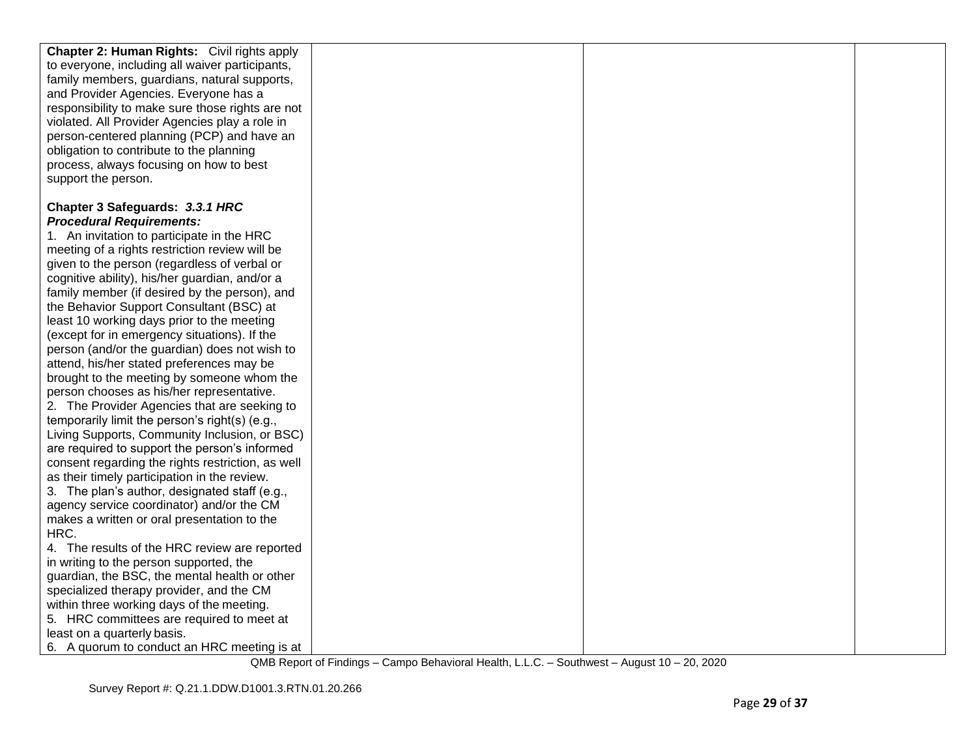| <b>Chapter 2: Human Rights:</b> Civil rights apply |  |  |
|----------------------------------------------------|--|--|
| to everyone, including all waiver participants,    |  |  |
| family members, guardians, natural supports,       |  |  |
| and Provider Agencies. Everyone has a              |  |  |
| responsibility to make sure those rights are not   |  |  |
| violated. All Provider Agencies play a role in     |  |  |
| person-centered planning (PCP) and have an         |  |  |
| obligation to contribute to the planning           |  |  |
| process, always focusing on how to best            |  |  |
| support the person.                                |  |  |
|                                                    |  |  |
| Chapter 3 Safeguards: 3.3.1 HRC                    |  |  |
| <b>Procedural Requirements:</b>                    |  |  |
| 1. An invitation to participate in the HRC         |  |  |
| meeting of a rights restriction review will be     |  |  |
| given to the person (regardless of verbal or       |  |  |
| cognitive ability), his/her guardian, and/or a     |  |  |
| family member (if desired by the person), and      |  |  |
| the Behavior Support Consultant (BSC) at           |  |  |
| least 10 working days prior to the meeting         |  |  |
| (except for in emergency situations). If the       |  |  |
| person (and/or the guardian) does not wish to      |  |  |
| attend, his/her stated preferences may be          |  |  |
| brought to the meeting by someone whom the         |  |  |
| person chooses as his/her representative.          |  |  |
| 2. The Provider Agencies that are seeking to       |  |  |
| temporarily limit the person's right(s) (e.g.,     |  |  |
| Living Supports, Community Inclusion, or BSC)      |  |  |
| are required to support the person's informed      |  |  |
| consent regarding the rights restriction, as well  |  |  |
| as their timely participation in the review.       |  |  |
| 3. The plan's author, designated staff (e.g.,      |  |  |
| agency service coordinator) and/or the CM          |  |  |
| makes a written or oral presentation to the        |  |  |
| HRC.                                               |  |  |
| 4. The results of the HRC review are reported      |  |  |
| in writing to the person supported, the            |  |  |
| guardian, the BSC, the mental health or other      |  |  |
| specialized therapy provider, and the CM           |  |  |
| within three working days of the meeting.          |  |  |
| 5. HRC committees are required to meet at          |  |  |
| least on a quarterly basis.                        |  |  |
| 6. A quorum to conduct an HRC meeting is at        |  |  |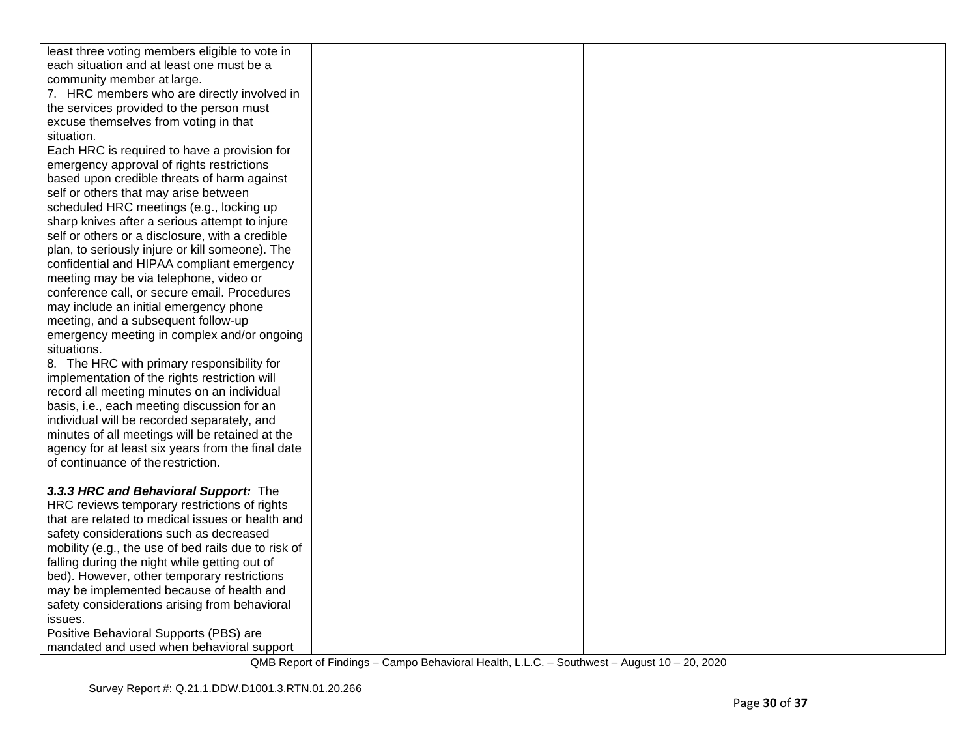| least three voting members eligible to vote in      |  |  |
|-----------------------------------------------------|--|--|
| each situation and at least one must be a           |  |  |
| community member at large.                          |  |  |
| 7. HRC members who are directly involved in         |  |  |
| the services provided to the person must            |  |  |
| excuse themselves from voting in that               |  |  |
| situation.                                          |  |  |
| Each HRC is required to have a provision for        |  |  |
| emergency approval of rights restrictions           |  |  |
| based upon credible threats of harm against         |  |  |
| self or others that may arise between               |  |  |
| scheduled HRC meetings (e.g., locking up            |  |  |
| sharp knives after a serious attempt to injure      |  |  |
| self or others or a disclosure, with a credible     |  |  |
| plan, to seriously injure or kill someone). The     |  |  |
| confidential and HIPAA compliant emergency          |  |  |
| meeting may be via telephone, video or              |  |  |
| conference call, or secure email. Procedures        |  |  |
| may include an initial emergency phone              |  |  |
| meeting, and a subsequent follow-up                 |  |  |
| emergency meeting in complex and/or ongoing         |  |  |
| situations.                                         |  |  |
| 8. The HRC with primary responsibility for          |  |  |
| implementation of the rights restriction will       |  |  |
| record all meeting minutes on an individual         |  |  |
| basis, i.e., each meeting discussion for an         |  |  |
| individual will be recorded separately, and         |  |  |
| minutes of all meetings will be retained at the     |  |  |
| agency for at least six years from the final date   |  |  |
| of continuance of the restriction.                  |  |  |
|                                                     |  |  |
| 3.3.3 HRC and Behavioral Support: The               |  |  |
| HRC reviews temporary restrictions of rights        |  |  |
| that are related to medical issues or health and    |  |  |
| safety considerations such as decreased             |  |  |
| mobility (e.g., the use of bed rails due to risk of |  |  |
| falling during the night while getting out of       |  |  |
| bed). However, other temporary restrictions         |  |  |
| may be implemented because of health and            |  |  |
| safety considerations arising from behavioral       |  |  |
| issues.                                             |  |  |
| Positive Behavioral Supports (PBS) are              |  |  |
| mandated and used when behavioral support           |  |  |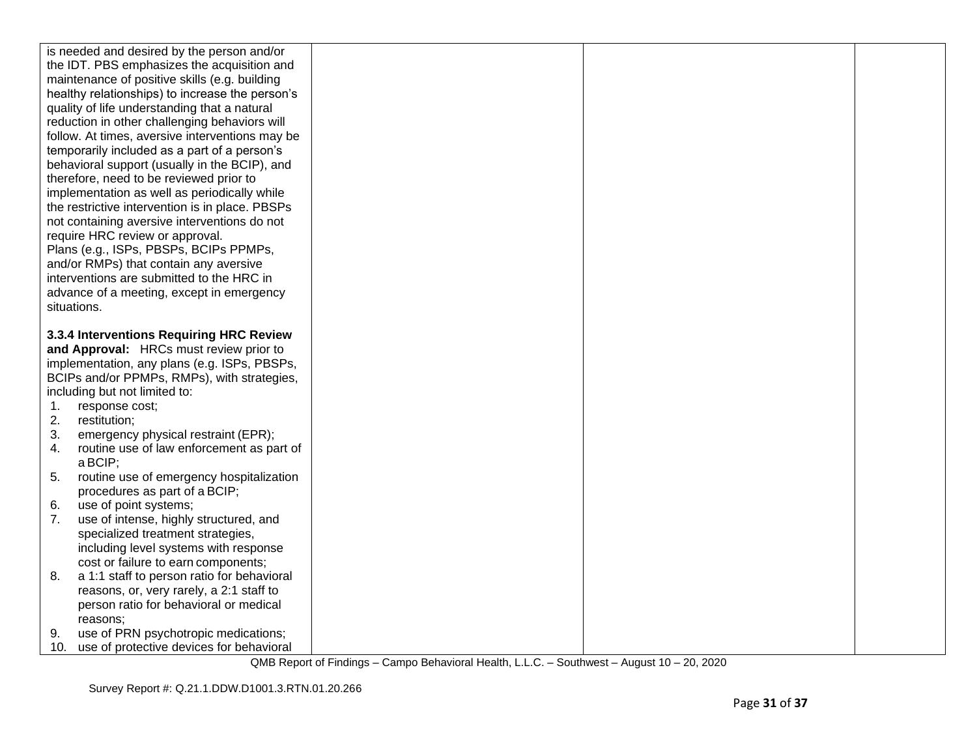|             | is needed and desired by the person and/or                                       |  |  |
|-------------|----------------------------------------------------------------------------------|--|--|
|             | the IDT. PBS emphasizes the acquisition and                                      |  |  |
|             | maintenance of positive skills (e.g. building                                    |  |  |
|             | healthy relationships) to increase the person's                                  |  |  |
|             | quality of life understanding that a natural                                     |  |  |
|             | reduction in other challenging behaviors will                                    |  |  |
|             | follow. At times, aversive interventions may be                                  |  |  |
|             | temporarily included as a part of a person's                                     |  |  |
|             | behavioral support (usually in the BCIP), and                                    |  |  |
|             | therefore, need to be reviewed prior to                                          |  |  |
|             | implementation as well as periodically while                                     |  |  |
|             | the restrictive intervention is in place. PBSPs                                  |  |  |
|             | not containing aversive interventions do not                                     |  |  |
|             | require HRC review or approval.                                                  |  |  |
|             | Plans (e.g., ISPs, PBSPs, BCIPs PPMPs,                                           |  |  |
|             | and/or RMPs) that contain any aversive                                           |  |  |
|             | interventions are submitted to the HRC in                                        |  |  |
|             | advance of a meeting, except in emergency                                        |  |  |
| situations. |                                                                                  |  |  |
|             |                                                                                  |  |  |
|             | 3.3.4 Interventions Requiring HRC Review                                         |  |  |
|             |                                                                                  |  |  |
|             | and Approval: HRCs must review prior to                                          |  |  |
|             | implementation, any plans (e.g. ISPs, PBSPs,                                     |  |  |
|             | BCIPs and/or PPMPs, RMPs), with strategies,                                      |  |  |
|             | including but not limited to:                                                    |  |  |
| 1.          | response cost;                                                                   |  |  |
| 2.          | restitution;                                                                     |  |  |
| 3.          | emergency physical restraint (EPR);                                              |  |  |
| 4.          | routine use of law enforcement as part of                                        |  |  |
|             | a BCIP;                                                                          |  |  |
| 5.          | routine use of emergency hospitalization                                         |  |  |
|             | procedures as part of a BCIP;                                                    |  |  |
| 6.          | use of point systems;                                                            |  |  |
| 7.          | use of intense, highly structured, and                                           |  |  |
|             | specialized treatment strategies,                                                |  |  |
|             | including level systems with response                                            |  |  |
|             | cost or failure to earn components;                                              |  |  |
| 8.          | a 1:1 staff to person ratio for behavioral                                       |  |  |
|             | reasons, or, very rarely, a 2:1 staff to                                         |  |  |
|             | person ratio for behavioral or medical                                           |  |  |
|             | reasons:                                                                         |  |  |
| 9.<br>10.   | use of PRN psychotropic medications;<br>use of protective devices for behavioral |  |  |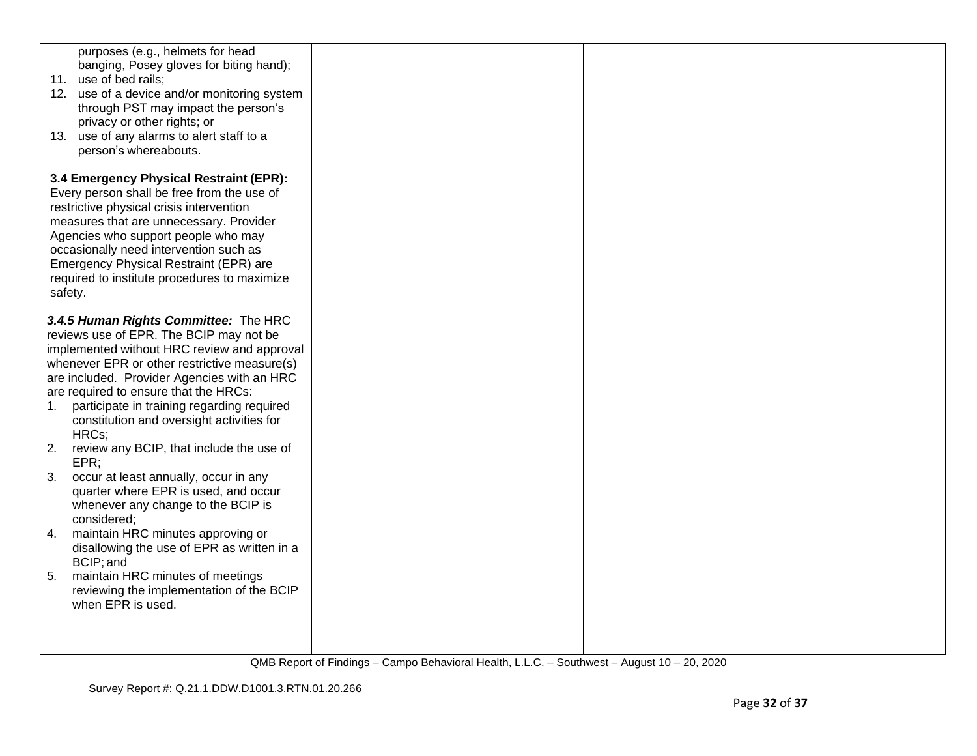| purposes (e.g., helmets for head<br>banging, Posey gloves for biting hand);<br>11. use of bed rails;<br>12. use of a device and/or monitoring system<br>through PST may impact the person's<br>privacy or other rights; or<br>13. use of any alarms to alert staff to a<br>person's whereabouts.                                                                                  |  |  |
|-----------------------------------------------------------------------------------------------------------------------------------------------------------------------------------------------------------------------------------------------------------------------------------------------------------------------------------------------------------------------------------|--|--|
| 3.4 Emergency Physical Restraint (EPR):<br>Every person shall be free from the use of<br>restrictive physical crisis intervention<br>measures that are unnecessary. Provider<br>Agencies who support people who may<br>occasionally need intervention such as<br>Emergency Physical Restraint (EPR) are<br>required to institute procedures to maximize<br>safety.                |  |  |
| 3.4.5 Human Rights Committee: The HRC<br>reviews use of EPR. The BCIP may not be<br>implemented without HRC review and approval<br>whenever EPR or other restrictive measure(s)<br>are included. Provider Agencies with an HRC<br>are required to ensure that the HRCs:<br>participate in training regarding required<br>1.<br>constitution and oversight activities for<br>HRCs; |  |  |
| 2.<br>review any BCIP, that include the use of<br>EPR;<br>3.<br>occur at least annually, occur in any<br>quarter where EPR is used, and occur                                                                                                                                                                                                                                     |  |  |
| whenever any change to the BCIP is<br>considered;<br>maintain HRC minutes approving or<br>4.<br>disallowing the use of EPR as written in a<br>BCIP; and                                                                                                                                                                                                                           |  |  |
| 5.<br>maintain HRC minutes of meetings<br>reviewing the implementation of the BCIP<br>when EPR is used.                                                                                                                                                                                                                                                                           |  |  |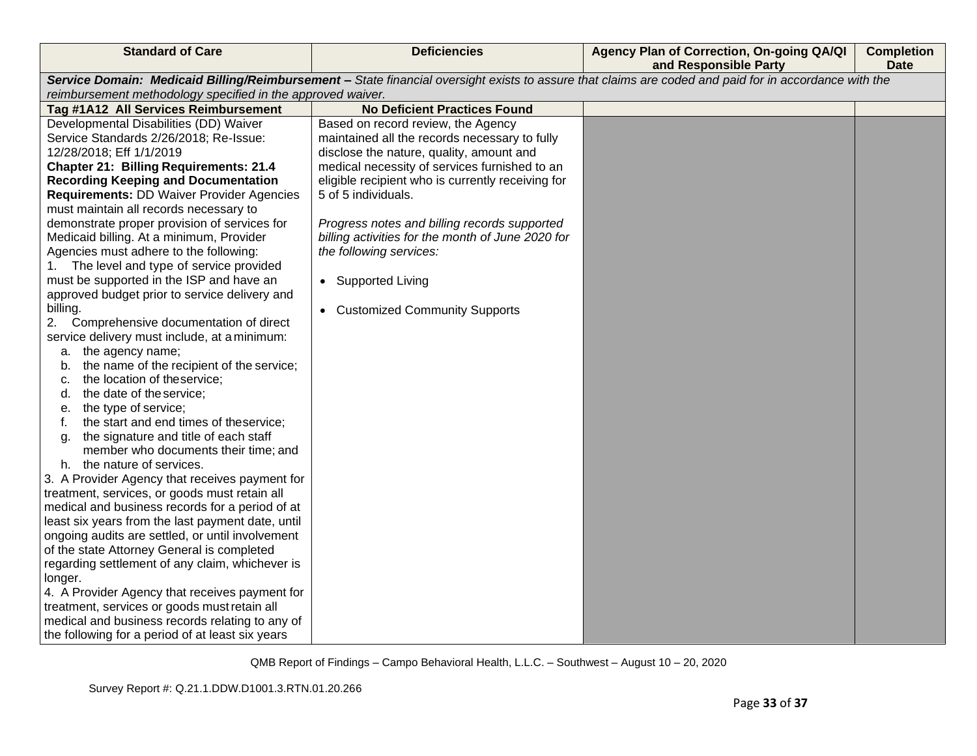| Service Domain: Medicaid Billing/Reimbursement - State financial oversight exists to assure that claims are coded and paid for in accordance with the |  |
|-------------------------------------------------------------------------------------------------------------------------------------------------------|--|
|                                                                                                                                                       |  |
|                                                                                                                                                       |  |
|                                                                                                                                                       |  |
|                                                                                                                                                       |  |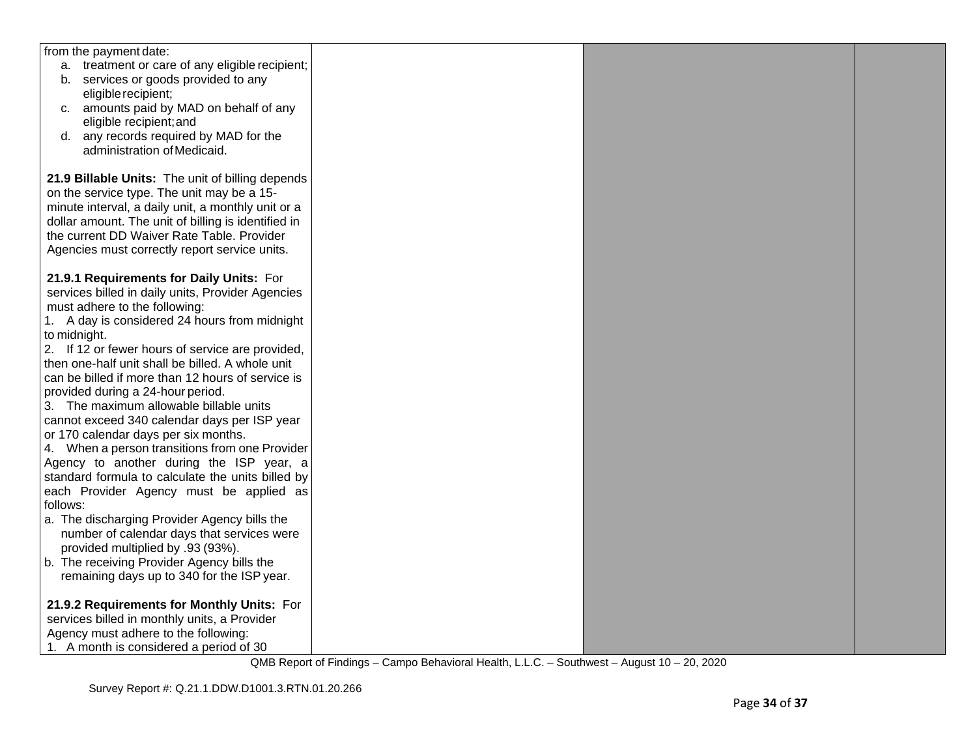| from the payment date:                              |  |  |
|-----------------------------------------------------|--|--|
| a. treatment or care of any eligible recipient;     |  |  |
| b. services or goods provided to any                |  |  |
| eligible recipient;                                 |  |  |
| c. amounts paid by MAD on behalf of any             |  |  |
| eligible recipient; and                             |  |  |
| d. any records required by MAD for the              |  |  |
| administration of Medicaid.                         |  |  |
|                                                     |  |  |
| 21.9 Billable Units: The unit of billing depends    |  |  |
| on the service type. The unit may be a 15-          |  |  |
| minute interval, a daily unit, a monthly unit or a  |  |  |
| dollar amount. The unit of billing is identified in |  |  |
| the current DD Waiver Rate Table. Provider          |  |  |
| Agencies must correctly report service units.       |  |  |
|                                                     |  |  |
| 21.9.1 Requirements for Daily Units: For            |  |  |
| services billed in daily units, Provider Agencies   |  |  |
| must adhere to the following:                       |  |  |
| 1. A day is considered 24 hours from midnight       |  |  |
| to midnight.                                        |  |  |
| 2. If 12 or fewer hours of service are provided,    |  |  |
| then one-half unit shall be billed. A whole unit    |  |  |
| can be billed if more than 12 hours of service is   |  |  |
| provided during a 24-hour period.                   |  |  |
| 3. The maximum allowable billable units             |  |  |
| cannot exceed 340 calendar days per ISP year        |  |  |
| or 170 calendar days per six months.                |  |  |
| 4. When a person transitions from one Provider      |  |  |
| Agency to another during the ISP year, a            |  |  |
| standard formula to calculate the units billed by   |  |  |
| each Provider Agency must be applied as             |  |  |
| follows:                                            |  |  |
| a. The discharging Provider Agency bills the        |  |  |
| number of calendar days that services were          |  |  |
| provided multiplied by .93 (93%).                   |  |  |
| b. The receiving Provider Agency bills the          |  |  |
| remaining days up to 340 for the ISP year.          |  |  |
|                                                     |  |  |
| 21.9.2 Requirements for Monthly Units: For          |  |  |
| services billed in monthly units, a Provider        |  |  |
| Agency must adhere to the following:                |  |  |
| 1. A month is considered a period of 30             |  |  |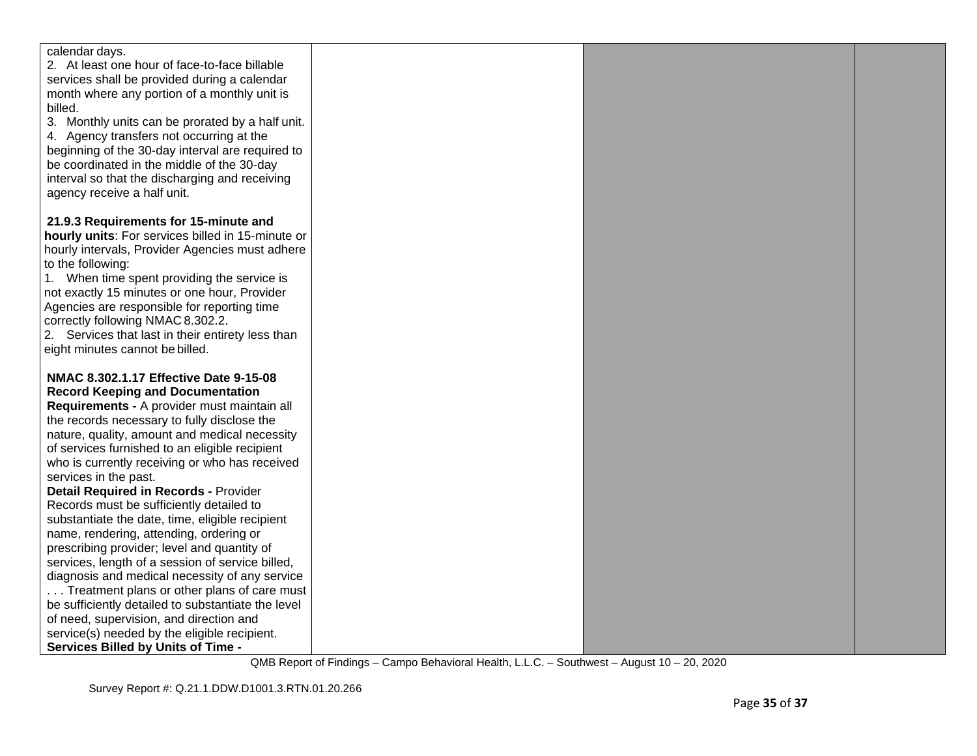| calendar days.                                     |  |  |
|----------------------------------------------------|--|--|
| 2. At least one hour of face-to-face billable      |  |  |
| services shall be provided during a calendar       |  |  |
| month where any portion of a monthly unit is       |  |  |
| billed.                                            |  |  |
| 3. Monthly units can be prorated by a half unit.   |  |  |
| 4. Agency transfers not occurring at the           |  |  |
| beginning of the 30-day interval are required to   |  |  |
| be coordinated in the middle of the 30-day         |  |  |
| interval so that the discharging and receiving     |  |  |
| agency receive a half unit.                        |  |  |
|                                                    |  |  |
| 21.9.3 Requirements for 15-minute and              |  |  |
| hourly units: For services billed in 15-minute or  |  |  |
| hourly intervals, Provider Agencies must adhere    |  |  |
| to the following:                                  |  |  |
| 1. When time spent providing the service is        |  |  |
| not exactly 15 minutes or one hour, Provider       |  |  |
| Agencies are responsible for reporting time        |  |  |
| correctly following NMAC 8.302.2.                  |  |  |
| 2. Services that last in their entirety less than  |  |  |
| eight minutes cannot be billed.                    |  |  |
|                                                    |  |  |
| NMAC 8.302.1.17 Effective Date 9-15-08             |  |  |
| <b>Record Keeping and Documentation</b>            |  |  |
| Requirements - A provider must maintain all        |  |  |
| the records necessary to fully disclose the        |  |  |
| nature, quality, amount and medical necessity      |  |  |
| of services furnished to an eligible recipient     |  |  |
| who is currently receiving or who has received     |  |  |
| services in the past.                              |  |  |
| <b>Detail Required in Records - Provider</b>       |  |  |
| Records must be sufficiently detailed to           |  |  |
| substantiate the date, time, eligible recipient    |  |  |
| name, rendering, attending, ordering or            |  |  |
| prescribing provider; level and quantity of        |  |  |
| services, length of a session of service billed,   |  |  |
| diagnosis and medical necessity of any service     |  |  |
| Treatment plans or other plans of care must        |  |  |
| be sufficiently detailed to substantiate the level |  |  |
| of need, supervision, and direction and            |  |  |
| service(s) needed by the eligible recipient.       |  |  |
| <b>Services Billed by Units of Time -</b>          |  |  |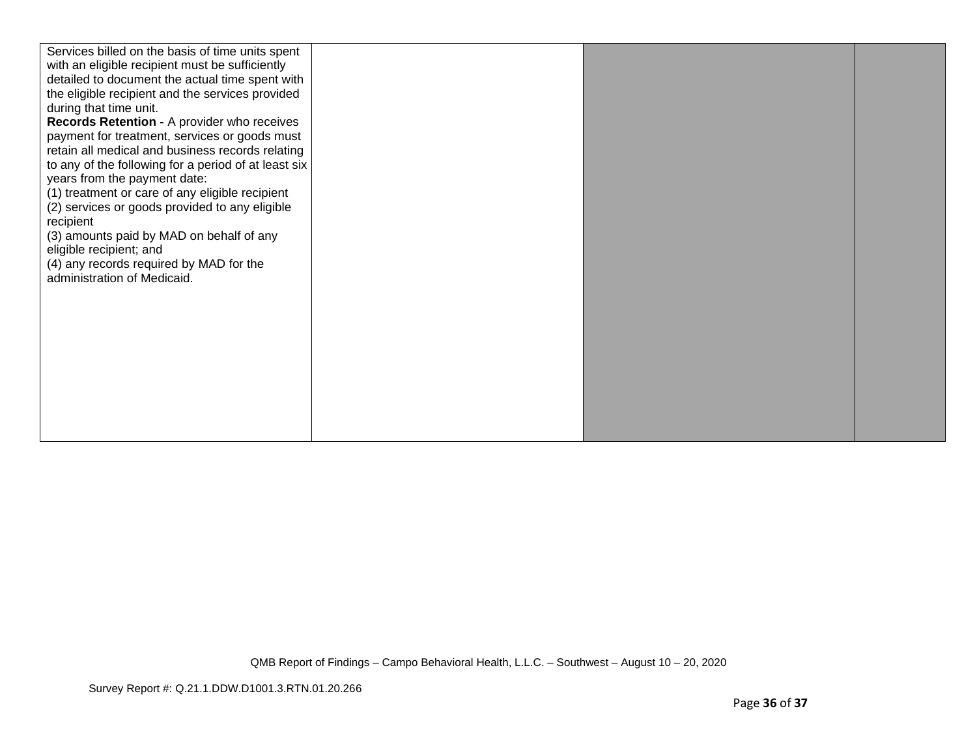| Services billed on the basis of time units spent<br>with an eligible recipient must be sufficiently<br>detailed to document the actual time spent with<br>the eligible recipient and the services provided<br>during that time unit.<br>Records Retention - A provider who receives<br>payment for treatment, services or goods must<br>retain all medical and business records relating<br>to any of the following for a period of at least six<br>years from the payment date:<br>(1) treatment or care of any eligible recipient<br>(2) services or goods provided to any eligible<br>recipient<br>(3) amounts paid by MAD on behalf of any<br>eligible recipient; and<br>(4) any records required by MAD for the<br>administration of Medicaid. |  |  |
|-----------------------------------------------------------------------------------------------------------------------------------------------------------------------------------------------------------------------------------------------------------------------------------------------------------------------------------------------------------------------------------------------------------------------------------------------------------------------------------------------------------------------------------------------------------------------------------------------------------------------------------------------------------------------------------------------------------------------------------------------------|--|--|
|                                                                                                                                                                                                                                                                                                                                                                                                                                                                                                                                                                                                                                                                                                                                                     |  |  |